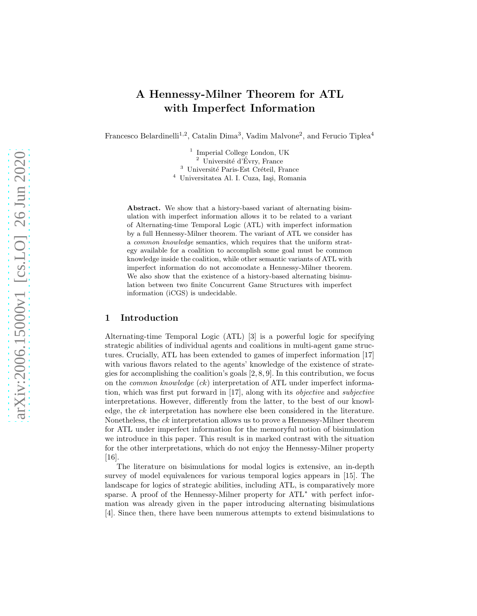# A Hennessy-Milner Theorem for ATL with Imperfect Information

Francesco Belardinelli<sup>1,2</sup>, Catalin Dima<sup>3</sup>, Vadim Malvone<sup>2</sup>, and Ferucio Tiplea<sup>4</sup>

<sup>1</sup> Imperial College London, UK  $\frac{2}{\pi}$  Université d'Évry, France  $3$  Université Paris-Est Créteil, France <sup>4</sup> Universitatea Al. I. Cuza, Iași, Romania

Abstract. We show that a history-based variant of alternating bisimulation with imperfect information allows it to be related to a variant of Alternating-time Temporal Logic (ATL) with imperfect information by a full Hennessy-Milner theorem. The variant of ATL we consider has a common knowledge semantics, which requires that the uniform strategy available for a coalition to accomplish some goal must be common knowledge inside the coalition, while other semantic variants of ATL with imperfect information do not accomodate a Hennessy-Milner theorem. We also show that the existence of a history-based alternating bisimulation between two finite Concurrent Game Structures with imperfect information (iCGS) is undecidable.

#### 1 Introduction

Alternating-time Temporal Logic (ATL) [3] is a powerful logic for specifying strategic abilities of individual agents and coalitions in multi-agent game structures. Crucially, ATL has been extended to games of imperfect information [17] with various flavors related to the agents' knowledge of the existence of strategies for accomplishing the coalition's goals [2, 8, 9]. In this contribution, we focus on the *common knowledge*  $(ck)$  interpretation of ATL under imperfect information, which was first put forward in [17], along with its objective and subjective interpretations. However, differently from the latter, to the best of our knowledge, the ck interpretation has nowhere else been considered in the literature. Nonetheless, the ck interpretation allows us to prove a Hennessy-Milner theorem for ATL under imperfect information for the memoryful notion of bisimulation we introduce in this paper. This result is in marked contrast with the situation for the other interpretations, which do not enjoy the Hennessy-Milner property [16].

The literature on bisimulations for modal logics is extensive, an in-depth survey of model equivalences for various temporal logics appears in [15]. The landscape for logics of strategic abilities, including ATL, is comparatively more sparse. A proof of the Hennessy-Milner property for ATL<sup>\*</sup> with perfect information was already given in the paper introducing alternating bisimulations [4]. Since then, there have been numerous attempts to extend bisimulations to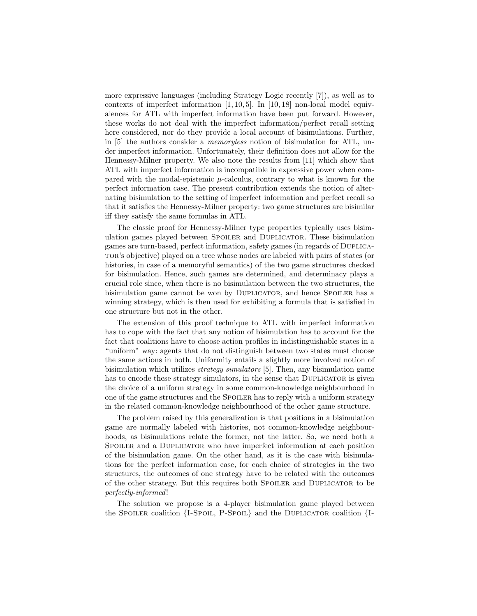more expressive languages (including Strategy Logic recently [7]), as well as to contexts of imperfect information  $[1, 10, 5]$ . In  $[10, 18]$  non-local model equivalences for ATL with imperfect information have been put forward. However, these works do not deal with the imperfect information/perfect recall setting here considered, nor do they provide a local account of bisimulations. Further, in [5] the authors consider a memoryless notion of bisimulation for ATL, under imperfect information. Unfortunately, their definition does not allow for the Hennessy-Milner property. We also note the results from [11] which show that ATL with imperfect information is incompatible in expressive power when compared with the modal-epistemic  $\mu$ -calculus, contrary to what is known for the perfect information case. The present contribution extends the notion of alternating bisimulation to the setting of imperfect information and perfect recall so that it satisfies the Hennessy-Milner property: two game structures are bisimilar iff they satisfy the same formulas in ATL.

The classic proof for Hennessy-Milner type properties typically uses bisimulation games played between SPOILER and DUPLICATOR. These bisimulation games are turn-based, perfect information, safety games (in regards of Duplicator's objective) played on a tree whose nodes are labeled with pairs of states (or histories, in case of a memoryful semantics) of the two game structures checked for bisimulation. Hence, such games are determined, and determinacy plays a crucial role since, when there is no bisimulation between the two structures, the bisimulation game cannot be won by DUPLICATOR, and hence SPOILER has a winning strategy, which is then used for exhibiting a formula that is satisfied in one structure but not in the other.

The extension of this proof technique to ATL with imperfect information has to cope with the fact that any notion of bisimulation has to account for the fact that coalitions have to choose action profiles in indistinguishable states in a "uniform" way: agents that do not distinguish between two states must choose the same actions in both. Uniformity entails a slightly more involved notion of bisimulation which utilizes *strategy simulators* [5]. Then, any bisimulation game has to encode these strategy simulators, in the sense that DUPLICATOR is given the choice of a uniform strategy in some common-knowledge neighbourhood in one of the game structures and the SPOILER has to reply with a uniform strategy in the related common-knowledge neighbourhood of the other game structure.

The problem raised by this generalization is that positions in a bisimulation game are normally labeled with histories, not common-knowledge neighbourhoods, as bisimulations relate the former, not the latter. So, we need both a Spoiler and a Duplicator who have imperfect information at each position of the bisimulation game. On the other hand, as it is the case with bisimulations for the perfect information case, for each choice of strategies in the two structures, the outcomes of one strategy have to be related with the outcomes of the other strategy. But this requires both Spoiler and Duplicator to be perfectly-informed!

The solution we propose is a 4-player bisimulation game played between the SPOILER coalition  ${I-Spoll}$ , P-SPOIL} and the DUPLICATOR coalition  ${I-Spoll}$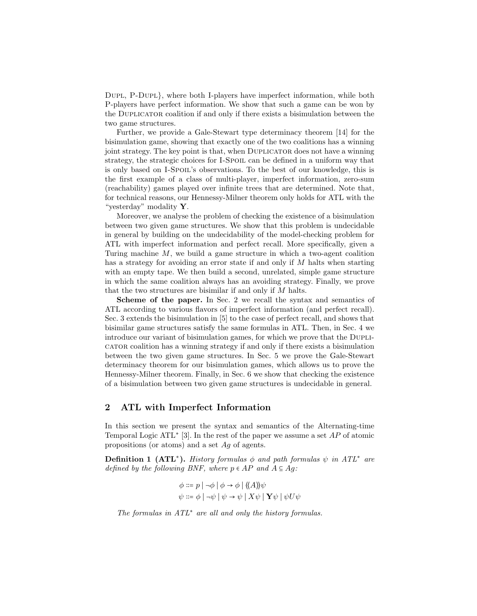Dupl, P-Dupl}, where both I-players have imperfect information, while both P-players have perfect information. We show that such a game can be won by the Duplicator coalition if and only if there exists a bisimulation between the two game structures.

Further, we provide a Gale-Stewart type determinacy theorem [14] for the bisimulation game, showing that exactly one of the two coalitions has a winning joint strategy. The key point is that, when Duplicator does not have a winning strategy, the strategic choices for I-Spoil can be defined in a uniform way that is only based on I-Spoil's observations. To the best of our knowledge, this is the first example of a class of multi-player, imperfect information, zero-sum (reachability) games played over infinite trees that are determined. Note that, for technical reasons, our Hennessy-Milner theorem only holds for ATL with the "yesterday" modality Y.

Moreover, we analyse the problem of checking the existence of a bisimulation between two given game structures. We show that this problem is undecidable in general by building on the undecidability of the model-checking problem for ATL with imperfect information and perfect recall. More specifically, given a Turing machine M, we build a game structure in which a two-agent coalition has a strategy for avoiding an error state if and only if M halts when starting with an empty tape. We then build a second, unrelated, simple game structure in which the same coalition always has an avoiding strategy. Finally, we prove that the two structures are bisimilar if and only if M halts.

Scheme of the paper. In Sec. 2 we recall the syntax and semantics of ATL according to various flavors of imperfect information (and perfect recall). Sec. 3 extends the bisimulation in [5] to the case of perfect recall, and shows that bisimilar game structures satisfy the same formulas in ATL. Then, in Sec. 4 we introduce our variant of bisimulation games, for which we prove that the Duplicator coalition has a winning strategy if and only if there exists a bisimulation between the two given game structures. In Sec. 5 we prove the Gale-Stewart determinacy theorem for our bisimulation games, which allows us to prove the Hennessy-Milner theorem. Finally, in Sec. 6 we show that checking the existence of a bisimulation between two given game structures is undecidable in general.

# 2 ATL with Imperfect Information

In this section we present the syntax and semantics of the Alternating-time Temporal Logic ATL<sup>\*</sup> [3]. In the rest of the paper we assume a set  $AP$  of atomic propositions (or atoms) and a set Ag of agents.

**Definition 1 (ATL<sup>\*</sup>).** History formulas  $\phi$  and path formulas  $\psi$  in ATL<sup>\*</sup> are defined by the following BNF, where  $p \in AP$  and  $A \subseteq Ag$ :

$$
\phi ::= p | \neg \phi | \phi \rightarrow \phi | \langle \langle A \rangle \rangle \psi
$$
  

$$
\psi ::= \phi | \neg \psi | \psi \rightarrow \psi | X \psi | Y \psi | \psi U \psi
$$

The formulas in  $ATL^*$  are all and only the history formulas.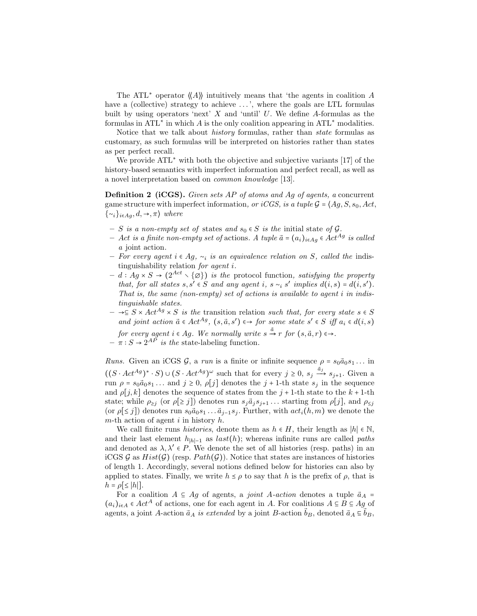The ATL<sup>\*</sup> operator  $\langle \langle A \rangle \rangle$  intuitively means that 'the agents in coalition A have a (collective) strategy to achieve  $\dots$ , where the goals are LTL formulas built by using operators 'next'  $X$  and 'until'  $U$ . We define  $A$ -formulas as the formulas in ATL<sup>\*</sup> in which A is the only coalition appearing in ATL<sup>\*</sup> modalities.

Notice that we talk about history formulas, rather than state formulas as customary, as such formulas will be interpreted on histories rather than states as per perfect recall.

We provide ATL<sup>∗</sup> with both the objective and subjective variants [17] of the history-based semantics with imperfect information and perfect recall, as well as a novel interpretation based on common knowledge [13].

Definition 2 (iCGS). Given sets AP of atoms and Ag of agents, a concurrent game structure with imperfect information, or iCGS, is a tuple  $G = \{Ag, S, s_0, Act,$  $\{\sim_i\}_{i\in Ag}, d, \rightarrow, \pi$  where

- S is a non-empty set of states and  $s_0 \in S$  is the initial state of  $\mathcal{G}$ .
- Act is a finite non-empty set of actions. A tuple  $\vec{a}$  =  $(a_i)_{i \in A_g}$  ∈ Act<sup>Ag</sup> is called a joint action.
- For every agent i ∈ Ag,  $\sim_i$  is an equivalence relation on S, called the indistinguishability relation for agent i.
- $d : Ag \times S → (2^{Act} \setminus {\emptyset})$  is the protocol function, satisfying the property that, for all states  $s, s' \in S$  and any agent i,  $s \sim_i s'$  implies  $d(i, s) = d(i, s')$ . That is, the same (non-empty) set of actions is available to agent  $i$  in indistinguishable states.
- $\rightarrow \subseteq S \times Act^{Ag} \times S$  is the transition relation such that, for every state  $s \in S$ and joint action  $\vec{a} \in Act^{Ag}$ ,  $(s, \vec{a}, s') \leftrightarrow for some state s' \in S$  iff  $a_i \in d(i, s)$ for every agent  $i \in Ag$ . We normally write  $s \stackrel{\tilde{a}}{\rightarrow} r$  for  $(s, \tilde{a}, r) \in \rightarrow$ .
- $\pi : S \to 2^{AP}$  is the state-labeling function.

*Runs.* Given an iCGS  $\mathcal{G}$ , a run is a finite or infinite sequence  $\rho = s_0 \vec{a}_0 s_1 \dots$  in  $((S \cdot Act^{Ag})^* \cdot S) \cup (S \cdot Act^{Ag})^{\omega}$  such that for every  $j \geq 0$ ,  $s_j \xrightarrow{\tilde{a}_j} s_{j+1}$ . Given a run  $\rho = s_0 \vec{a}_0 s_1 \dots$  and  $j \geq 0$ ,  $\rho[j]$  denotes the  $j + 1$ -th state  $s_j$  in the sequence and  $\rho[j, k]$  denotes the sequence of states from the  $j + 1$ -th state to the  $k + 1$ -th state; while  $\rho_{\ge j}$  (or  $\rho[\ge j]$ ) denotes run  $s_j \vec{a}_j s_{j+1} \dots$  starting from  $\rho[j]$ , and  $\rho_{\le j}$ (or  $\rho[\leq j]$ ) denotes run  $s_0\bar{a}_0s_1 \ldots \bar{a}_{j-1}s_j$ . Further, with  $act_i(h,m)$  we denote the m-th action of agent i in history  $h$ .

We call finite runs *histories*, denote them as  $h \in H$ , their length as |h|  $\in \mathbb{N}$ , and their last element  $h_{|h|-1}$  as  $last(h)$ ; whereas infinite runs are called paths and denoted as  $\lambda, \lambda' \in P$ . We denote the set of all histories (resp. paths) in an iCGS  $\mathcal G$  as  $Hist(\mathcal G)$  (resp.  $Path(\mathcal G)$ ). Notice that states are instances of histories of length 1. Accordingly, several notions defined below for histories can also by applied to states. Finally, we write  $h \leq \rho$  to say that h is the prefix of  $\rho$ , that is  $h = \rho \leq |h|$ .

For a coalition  $A \subseteq Ag$  of agents, a *joint A-action* denotes a tuple  $\vec{a}_A$  =  $(a_i)_{i\in A} \in Act^A$  of actions, one for each agent in A. For coalitions  $A \subseteq B \subseteq Ag$  of agents, a joint A-action  $\vec{a}_A$  is extended by a joint B-action  $\vec{b}_B$ , denoted  $\vec{a}_A \subseteq \vec{b}_B$ ,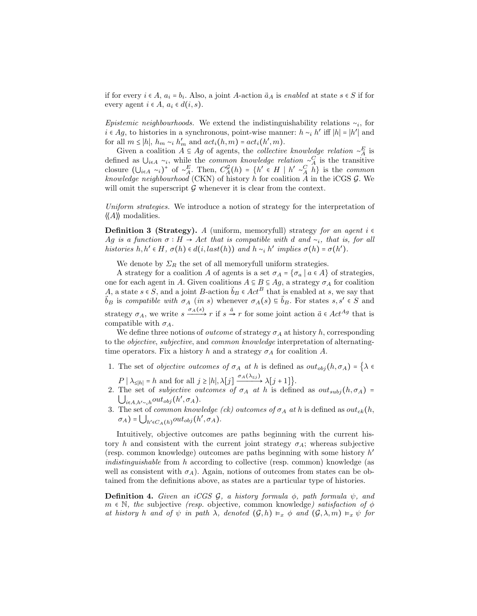if for every  $i \in A$ ,  $a_i = b_i$ . Also, a joint A-action  $\vec{a}_A$  is enabled at state  $s \in S$  if for every agent  $i \in A$ ,  $a_i \in d(i, s)$ .

Epistemic neighbourhoods. We extend the indistinguishability relations  $\sim_i$ , for *i* ∈ Ag, to histories in a synchronous, point-wise manner:  $h \sim_i h'$  iff  $|h| = |h'|$  and for all  $m \le |h|$ ,  $h_m \sim_i h'_m$  and  $act_i(h,m) = act_i(h',m)$ .

Given a coalition  $A \subseteq Ag$  of agents, the *collective knowledge relation* ∼<sup>E</sup><sub>A</sub> is defined as  $\bigcup_{i\in A} \sim_i$ , while the *common knowledge relation* ∼<sup>*C*</sup> is the transitive closure  $(\bigcup_{i\in A} \neg i)^+$  of  $\neg^E_A$ . Then,  $C_A^{\mathcal{G}}(h) = \{h' \in H \mid h' \neg^C_A h\}$  is the *common* knowledge neighbourhood (CKN) of history  $h$  for coalition  $A$  in the iCGS  $G$ . We will omit the superscript  $G$  whenever it is clear from the context.

Uniform strategies. We introduce a notion of strategy for the interpretation of  $\langle \langle A \rangle \rangle$  modalities.

**Definition 3 (Strategy).** A (uniform, memoryfull) strategy for an agent  $i \in$ Ag is a function  $\sigma$  ∶ H → Act that is compatible with d and  $\sim_i$ , that is, for all histories  $h, h' \in H$ ,  $\sigma(h) \in d(i, last(h))$  and  $h \sim_i h'$  implies  $\sigma(h) = \sigma(h')$ .

We denote by  $\Sigma_R$  the set of all memoryfull uniform strategies.

A strategy for a coalition A of agents is a set  $\sigma_A = {\sigma_a | a \in A}$  of strategies, one for each agent in A. Given coalitions  $A \subseteq B \subseteq Ag$ , a strategy  $\sigma_A$  for coalition A, a state  $s \in S$ , and a joint B-action  $\vec{b}_B \in Act^B$  that is enabled at s, we say that  $\vec{b}_B$  is compatible with  $\sigma_A$  (in s) whenever  $\sigma_A(s) \in \vec{b}_B$ . For states  $s, s' \in S$  and strategy  $\sigma_A$ , we write  $s \xrightarrow{\sigma_A(s)} r$  if  $s \xrightarrow{\tilde{a}} r$  for some joint action  $\tilde{a} \in Act^{Ag}$  that is compatible with  $\sigma_A$ .

We define three notions of *outcome* of strategy  $\sigma_A$  at history h, corresponding to the objective, subjective, and common knowledge interpretation of alternatingtime operators. Fix a history h and a strategy  $\sigma_A$  for coalition A.

1. The set of *objective outcomes of*  $\sigma_A$  *at h* is defined as  $out_{obj}(h, \sigma_A) = \{\lambda \in$ 

 $P | \lambda_{\leq |h|} = h$  and for all  $j \geq |h|, \lambda[j] \xrightarrow{\sigma_A(\lambda_{\leq j})} \lambda[j+1]$ .

- 2. The set of *subjective outcomes of*  $\sigma_A$  *at h* is defined as  $out_{subj}(h, \sigma_A)$  =  $\bigcup_{i\in A, h'\sim_i h} out_{obj}(h', \sigma_A).$
- 3. The set of common knowledge (ck) outcomes of  $\sigma_A$  at h is defined as out<sub>ck</sub>(h,  $\sigma_A$ ) =  $\bigcup_{h' \in C_A(h)} out_{obj}(h', \sigma_A)$ .

Intuitively, objective outcomes are paths beginning with the current history h and consistent with the current joint strategy  $\sigma_A$ ; whereas subjective (resp. common knowledge) outcomes are paths beginning with some history h ′ indistinguishable from h according to collective (resp. common) knowledge (as well as consistent with  $\sigma_A$ ). Again, notions of outcomes from states can be obtained from the definitions above, as states are a particular type of histories.

**Definition 4.** Given an iCGS  $\mathcal{G}$ , a history formula  $\phi$ , path formula  $\psi$ , and  $m \in \mathbb{N}$ , the subjective (resp. objective, common knowledge) satisfaction of  $\phi$ at history h and of  $\psi$  in path  $\lambda$ , denoted  $(\mathcal{G}, h) \vDash_{x} \phi$  and  $(\mathcal{G}, \lambda, m) \vDash_{x} \psi$  for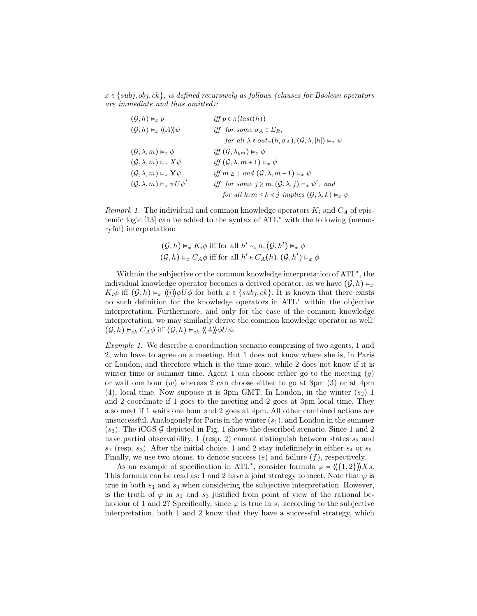$x \in \{subj, obj, ck\}$ , is defined recursively as follows (clauses for Boolean operators are immediate and thus omitted):

| $(\mathcal{G}, h) \vDash_x p$                                        | iff $p \in \pitlast(h))$                                                            |
|----------------------------------------------------------------------|-------------------------------------------------------------------------------------|
| $(\mathcal{G}, h) \vDash_{x} \langle \langle A \rangle \rangle \psi$ | iff for some $\sigma_A \in \Sigma_R$ ,                                              |
|                                                                      | for all $\lambda \in out_x(h, \sigma_A), (\mathcal{G}, \lambda,  h ) \vDash_x \psi$ |
| $(\mathcal{G}, \lambda, m) \vDash_{x} \phi$                          | iff $(\mathcal{G},\lambda_{\leq m}) \vDash_{x} \phi$                                |
| $(\mathcal{G}, \lambda, m) \vDash_{x} X\psi$                         | iff $(\mathcal{G}, \lambda, m+1) \vDash_{x} \psi$                                   |
| $(\mathcal{G}, \lambda, m) \vDash_{x} Y \psi$                        | iff $m \geq 1$ and $(\mathcal{G}, \lambda, m-1) \vDash_{x} \psi$                    |
| $(\mathcal{G}, \lambda, m) \vDash_{x} \psi U \psi'$                  | iff for some $j \geq m, (\mathcal{G}, \lambda, j) \vDash_{x} \psi'$ , and           |
|                                                                      | for all $k, m \leq k < j$ implies $(\mathcal{G}, \lambda, k) \vDash_{x} \psi$       |

Remark 1. The individual and common knowledge operators  $K_i$  and  $C_A$  of epistemic logic [13] can be added to the syntax of ATL<sup>∗</sup> with the following (memoryful) interpretation:

$$
(G,h) \vDash_x K_i \phi \text{ iff for all } h' \sim_i h, (G,h') \vDash_x \phi
$$
  

$$
(G,h) \vDash_x C_A \phi \text{ iff for all } h' \in C_A(h), (G,h') \vDash_x \phi
$$

Withnin the subjective or the common knowledge interpretation of ATL<sup>∗</sup> , the individual knowledge operator becomes a derived operator, as we have  $(\mathcal{G}, h) \models_{x}$  $K_i\phi$  iff  $(\mathcal{G}, h) \vDash_x \langle\!\langle i \rangle\!\rangle \phi U\phi$  for both  $x \in \{subj, ck\}$ . It is known that there exists no such definition for the knowledge operators in ATL<sup>∗</sup> within the objective interpretation. Furthermore, and only for the case of the common knowledge interpretation, we may similarly derive the common knowledge operator as well:  $(\mathcal{G}, h) \vDash_{ck} C_A \phi$  iff  $(\mathcal{G}, h) \vDash_{ck} \langle \langle A \rangle \rangle \phi U \phi$ .

Example 1. We describe a coordination scenario comprising of two agents, 1 and 2, who have to agree on a meeting. But 1 does not know where she is, in Paris or London, and therefore which is the time zone, while 2 does not know if it is winter time or summer time. Agent 1 can choose either go to the meeting  $(q)$ or wait one hour  $(w)$  whereas 2 can choose either to go at 3pm  $(3)$  or at 4pm (4), local time. Now suppose it is 3pm GMT. In London, in the winter  $(s_2)$  1 and 2 coordinate if 1 goes to the meeting and 2 goes at 3pm local time. They also meet if 1 waits one hour and 2 goes at 4pm. All other combined actions are unsuccessful. Analogously for Paris in the winter  $(s_1)$ , and London in the summer  $(s_3)$ . The iCGS G depicted in Fig. 1 shows the described scenario. Since 1 and 2 have partial observability, 1 (resp. 2) cannot distinguish between states  $s_2$  and  $s_1$  (resp.  $s_3$ ). After the initial choice, 1 and 2 stay indefinitely in either  $s_4$  or  $s_5$ . Finally, we use two atoms, to denote success  $(s)$  and failure  $(f)$ , respectively.

As an example of specification in ATL<sup>\*</sup>, consider formula  $\varphi = \langle (\{1,2\}) \rangle Xs$ . This formula can be read as: 1 and 2 have a joint strategy to meet. Note that  $\varphi$  is true in both  $s_1$  and  $s_3$  when considering the subjective interpretation. However, is the truth of  $\varphi$  in  $s_1$  and  $s_3$  justified from point of view of the rational behaviour of 1 and 2? Specifically, since  $\varphi$  is true in  $s_1$  according to the subjective interpretation, both 1 and 2 know that they have a successful strategy, which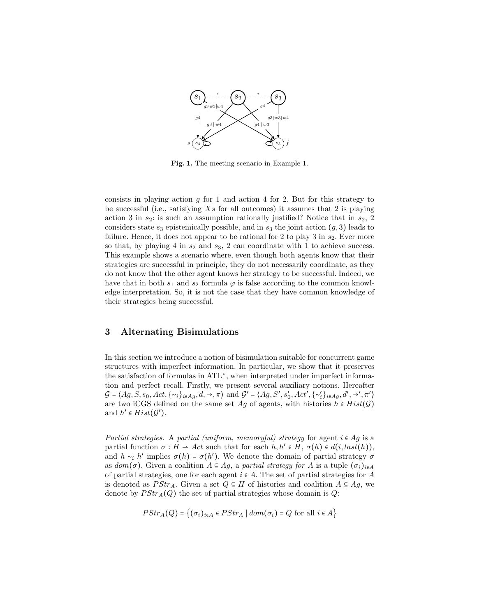

Fig. 1. The meeting scenario in Example 1.

consists in playing action g for 1 and action 4 for 2. But for this strategy to be successful (i.e., satisfying  $Xs$  for all outcomes) it assumes that 2 is playing action 3 in  $s_2$ : is such an assumption rationally justified? Notice that in  $s_2$ , 2 considers state  $s_3$  epistemically possible, and in  $s_3$  the joint action  $(g, 3)$  leads to failure. Hence, it does not appear to be rational for 2 to play 3 in  $s_2$ . Ever more so that, by playing 4 in  $s_2$  and  $s_3$ , 2 can coordinate with 1 to achieve success. This example shows a scenario where, even though both agents know that their strategies are successful in principle, they do not necessarily coordinate, as they do not know that the other agent knows her strategy to be successful. Indeed, we have that in both  $s_1$  and  $s_2$  formula  $\varphi$  is false according to the common knowledge interpretation. So, it is not the case that they have common knowledge of their strategies being successful.

## 3 Alternating Bisimulations

In this section we introduce a notion of bisimulation suitable for concurrent game structures with imperfect information. In particular, we show that it preserves the satisfaction of formulas in ATL<sup>∗</sup> , when interpreted under imperfect information and perfect recall. Firstly, we present several auxiliary notions. Hereafter  $G = \langle Ag, S, s_0, Act, \{\sim_i\}_{i \in Ag}, d, \rightarrow, \pi \rangle$  and  $G' = \langle Ag, S', s'_0, Act', \{\sim'_i\}_{i \in Ag}, d', \rightarrow', \pi' \rangle$ are two iCGS defined on the same set Ag of agents, with histories  $h \in Hist(\mathcal{G})$ and  $h' \in Hist(\mathcal{G}')$ .

Partial strategies. A partial (uniform, memoryful) strategy for agent  $i \in Ag$  is a partial function  $\sigma: H \to Act$  such that for each  $h, h' \in H$ ,  $\sigma(h) \in d(i, last(h)),$ and  $h \sim_i h'$  implies  $\sigma(h) = \sigma(h')$ . We denote the domain of partial strategy  $\sigma$ as  $dom(\sigma)$ . Given a coalition  $A \subseteq Ag$ , a partial strategy for A is a tuple  $(\sigma_i)_{i \in A}$ of partial strategies, one for each agent  $i \in A$ . The set of partial strategies for A is denoted as  $PStr_A$ . Given a set  $Q \subseteq H$  of histories and coalition  $A \subseteq Ag$ , we denote by  $PStr_A(Q)$  the set of partial strategies whose domain is Q:

$$
PStr_A(Q) = \{ (\sigma_i)_{i \in A} \in PStr_A \mid dom(\sigma_i) = Q \text{ for all } i \in A \}
$$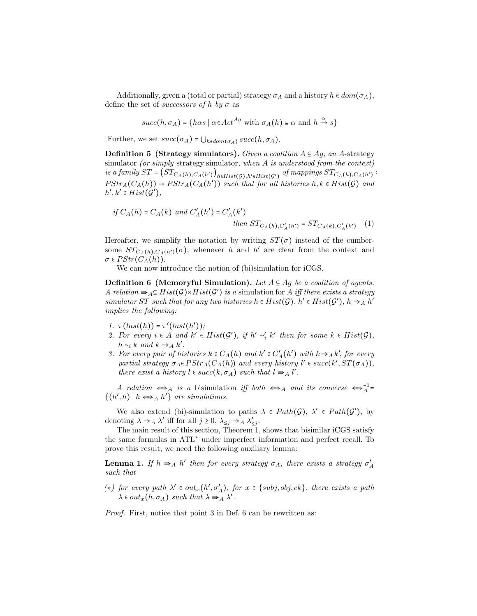Additionally, given a (total or partial) strategy  $\sigma_A$  and a history  $h \in dom(\sigma_A)$ , define the set of *successors* of h by  $\sigma$  as

$$
succ(h,\sigma_A)=\big\{h\alpha s\mid \alpha\!\in\!Act^{Ag}\text{ with }\sigma_A(h)\!\equiv\!\alpha\text{ and }h\stackrel{\alpha}{\rightarrow}s\big\}
$$

Further, we set  $succ(\sigma_A) = \bigcup_{h \in dom(\sigma_A)} succ(h, \sigma_A).$ 

**Definition 5 (Strategy simulators).** Given a coalition  $A \subseteq Ag$ , an A-strategy simulator (or simply strategy simulator, when A is understood from the context) is a family  $ST = \left(ST_{C_A(h),C_A(h')} \right)_{h \in Hist(\mathcal{G}), h' \in Hist(\mathcal{G}')}$  of mappings  $ST_{C_A(h),C_A(h')}$ :  $PStr_A(C_A(h)) \to PStr_A(C_A(h'))$  such that for all histories  $h, k \in Hist(\mathcal{G})$  and  $h', k' \in Hist(\mathcal{G}'),$ 

if 
$$
C_A(h) = C_A(k)
$$
 and  $C'_A(h') = C'_A(k')$   
then  $ST_{C_A(h), C'_A(h')} = ST_{C_A(k), C'_A(k')}$  (1)

Hereafter, we simplify the notation by writing  $ST(\sigma)$  instead of the cumbersome  $ST_{C_A(h),C_A(h')}(\sigma)$ , whenever h and h' are clear from the context and  $\sigma \in PStr(C_A(h)).$ 

We can now introduce the notion of (bi)simulation for iCGS.

Definition 6 (Memoryful Simulation). Let  $A \subseteq Ag$  be a coalition of agents. A relation  $\Rightarrow_{A} \subseteq Hist(G) \times Hist(G')$  is a simulation for A iff there exists a strategy simulator ST such that for any two histories  $h \in Hist(\mathcal{G})$ ,  $h' \in Hist(\mathcal{G}')$ ,  $h \Rightarrow_A h'$ implies the following:

- 1.  $\pitast(h)) = \pi'(last(h'));$
- 2. For every  $i \in A$  and  $k' \in Hist(\mathcal{G}')$ , if  $h' \sim'_{i} k'$  then for some  $k \in Hist(\mathcal{G})$ ,  $h \sim_i k$  and  $k \Rightarrow_A k'.$
- 3. For every pair of histories  $k \in C_A(h)$  and  $k' \in C'_A(h')$  with  $k \Rightarrow _A k'$ , for every partial strategy  $\sigma_A \in PStr_A(C_A(h))$  and every history  $l' \in succ(k', ST(\sigma_A)),$ there exist a history  $l \in succ(k, \sigma_A)$  such that  $l \Rightarrow_{A} l'.$

A relation  $\iff$  is a bisimulation if both  $\iff$  and its converse  $\iff$ <sup>1</sup><sup>1</sup>  $\{(h', h) | h \Longleftrightarrow_A h'\}\$ are simulations.

We also extend (bi)-simulation to paths  $\lambda \in Path(\mathcal{G})$ ,  $\lambda' \in Path(\mathcal{G}')$ , by denoting  $\lambda \Rightarrow_A \lambda'$  iff for all  $j \geq 0$ ,  $\lambda_{\leq j} \Rightarrow_A \lambda'_{\leq j}$ .

The main result of this section, Theorem 1, shows that bisimilar iCGS satisfy the same formulas in ATL<sup>∗</sup> under imperfect information and perfect recall. To prove this result, we need the following auxiliary lemma:

**Lemma 1.** If  $h \Rightarrow_A h'$  then for every strategy  $\sigma_A$ , there exists a strategy  $\sigma'_A$ such that

(\*) for every path  $\lambda'$  ∈  $out_x(h', \sigma'_A)$ , for  $x \in \{subj, obj, ck\}$ , there exists a path  $\lambda \in out_x(h, \sigma_A)$  such that  $\lambda \Rightarrow_A \lambda'$ .

Proof. First, notice that point 3 in Def. 6 can be rewritten as: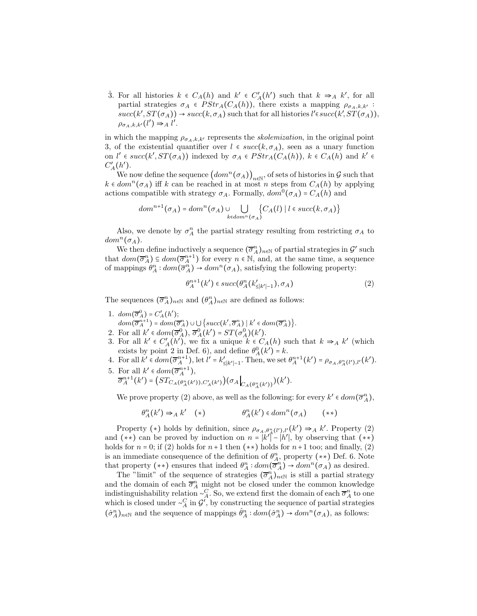3. For all histories  $k \in C_A(h)$  and  $k' \in C'_A(h')$  such that  $k \Rightarrow_A k'$ , for all partial strategies  $\sigma_A \in PStr_A(C_A(h))$ , there exists a mapping  $\rho_{\sigma_A,k,k'}$ .  $succ(k', ST(\sigma_A)) \rightarrow succ(k, \sigma_A)$  such that for all histories  $l' \in succ(k', ST(\sigma_A)),$  $\rho_{\sigma_A,k,k'}(l') \Rightarrow_A l'.$ 

in which the mapping  $\rho_{\sigma_A,k,k'}$  represents the *skolemization*, in the original point 3, of the existential quantifier over  $l \in succ(k, \sigma_A)$ , seen as a unary function on  $l' \in succ(k', ST(\sigma_A))$  indexed by  $\sigma_A \in PStr_A(C_A(h)), k \in C_A(h)$  and  $k' \in$  $C_A'(h')$ .

We now define the sequence  $\left(dom^n(\sigma_A)\right)_{n\in\mathbb{N}},$  of sets of histories in G such that  $k \in dom^{n}(\sigma_{A})$  iff k can be reached in at most n steps from  $C_{A}(h)$  by applying actions compatible with strategy  $\sigma_A$ . Formally,  $dom^0(\sigma_A) = C_A(h)$  and

$$
dom^{n+1}(\sigma_A)=dom^n(\sigma_A)\cup\bigcup_{k\in dom^n(\sigma_A)}\{C_A(l) \mid l\in succ(k,\sigma_A)\}
$$

Also, we denote by  $\sigma_A^n$  the partial strategy resulting from restricting  $\sigma_A$  to  $dom^n(\sigma_A)$ .

We then define inductively a sequence  $(\overline{\sigma}_{A}^{n})_{n\in\mathbb{N}}$  of partial strategies in  $\mathcal{G}'$  such that  $dom(\overline{\sigma}_A^n) \subseteq dom(\overline{\sigma}_A^{n+1})$  for every  $n \in \mathbb{N}$ , and, at the same time, a sequence of mappings  $\theta_A^n: dom(\overline{\sigma}_A^n) \to dom^n(\sigma_A)$ , satisfying the following property:

$$
\theta_A^{n+1}(k') \in succ(\theta_A^n(k'_{\leq |k'|-1}), \sigma_A)
$$
\n<sup>(2)</sup>

The sequences  $(\overline{\sigma}_{A}^{n})_{n\in\mathbb{N}}$  and  $(\theta_{A}^{n})_{n\in\mathbb{N}}$  are defined as follows:

- 1.  $dom(\overline{\sigma}_A^0) = C'_A(h');$  $dom(\overline{\sigma}_{A}^{n+1}) = dom(\overline{\sigma}_{A}^{n}) \cup \bigcup \{succ(k', \overline{\sigma}_{A}^{n}) \mid k' \in dom(\overline{\sigma}_{A}^{n}) \}.$
- 2. For all  $k' \in dom(\overline{\sigma}_A^0), \overline{\sigma}_A^0(k') = ST(\sigma_A^0)(k').$
- 3. For all  $k' \in C_A(h')$ , we fix a unique  $k \in C_A(h)$  such that  $k \Rightarrow_A k'$  (which exists by point 2 in Def. 6), and define  $\theta_A^0(k') = k$ .
- 4. For all  $k' \in dom(\overline{\sigma}_{A}^{n+1}),$  let  $l' = k'_{\leq |k'|-1}$ . Then, we set  $\theta_{A}^{n+1}(k') = \rho_{\sigma_{A},\theta_{A}^{n}(l'),l'}(k').$
- 5. For all  $k' \in dom(\overline{\sigma}_{A}^{n+1}),$  $\overline{\sigma}_A^{n+1}(k') = \Big(ST_{C_A(\theta_A^n(k')),C'_A(k')} \Big)(\sigma_A \Big|_{C_A(\theta_A^n(k'))})(k').$

We prove property (2) above, as well as the following: for every  $k' \in dom(\overline{\sigma}_{A}^{n}),$ 

$$
\theta_A^n(k') \Rightarrow_A k' \quad (*) \qquad \theta_A^n(k') \in dom^n(\sigma_A) \qquad (**)
$$

Property (\*) holds by definition, since  $\rho_{\sigma_A,\theta_A^n(l'),l'}(k') \Rightarrow_A k'.$  Property (2) and  $(**)$  can be proved by induction on  $n = |k'|^2 - |h'|$ , by observing that  $(**)$ holds for  $n = 0$ ; if (2) holds for  $n + 1$  then  $(**)$  holds for  $n+1$  too; and finally, (2) is an immediate consequence of the definition of  $\theta_A^n$ , property (\*\*) Def. 6. Note that property  $(**)$  ensures that indeed  $\theta_A^n: dom(\overline{\sigma}_A^n) \to dom^n(\sigma_A)$  as desired.

The "limit" of the sequence of strategies  $(\overline{\sigma}_{A}^{n})_{n\in\mathbb{N}}$  is still a partial strategy and the domain of each  $\overline{\sigma}_A^n$  might not be closed under the common knowledge indistinguishability relation  $\sim_A^C$ . So, we extend first the domain of each  $\overline{\sigma}_A^n$  to one which is closed under  $\sim_A^C$  in  $\mathcal{G}'$ , by constructing the sequence of partial strategies  $(\hat{\sigma}_A^n)_{n \in \mathbb{N}}$  and the sequence of mappings  $\hat{\theta}_A^n : dom(\hat{\sigma}_A^n) \to dom^n(\sigma_A)$ , as follows: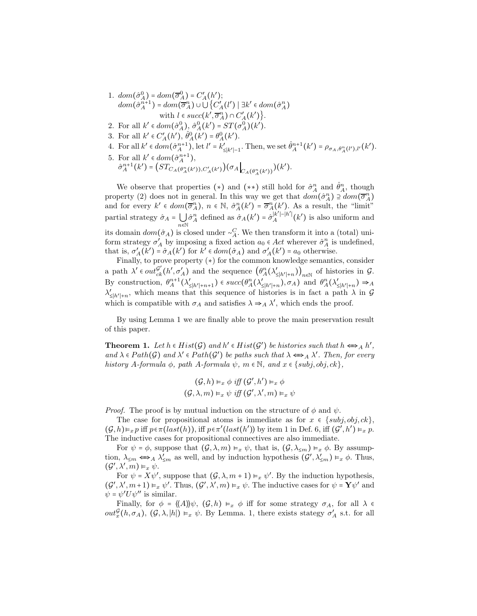- 1.  $dom(\hat{\sigma}_A^0) = dom(\overline{\sigma}_A^0) = C'_A(h')$ ;  $dom(\hat{\sigma}_{A}^{n+1}) = dom(\overline{\sigma}_{A}^{n}) \cup \bigcup \{C'_{A}(l') \mid \exists k' \in dom(\hat{\sigma}_{A}^{n})$ with  $l \in succ(k', \overline{\sigma}_A^n) \cap C_A'(k')\big\}.$
- 2. For all  $k' \in dom(\hat{\sigma}_A^0), \hat{\sigma}_A^0(k') = ST(\sigma_A^0)(k').$
- 3. For all  $k' \in C_A'(h'), \hat{\theta}_A^0(k') = \theta_A^0(k').$
- 4. For all  $k' \in dom(\hat{\sigma}_A^{n+1})$ , let  $l' = k'_{\leq |k'|-1}$ . Then, we set  $\hat{\theta}_A^{n+1}(k') = \rho_{\sigma_A, \theta_A^n(l'), l'}(k')$ .
- 5. For all  $k' \in dom(\hat{\sigma}_A^{n+1}),$  $\hat{\sigma}_{A}^{n+1}(k') = \Big( ST_{C_A(\theta_A^n(k')),C_A'(k')} \Big) (\sigma_A \Big|_{C_A(\theta_A^n(k'))}) (k').$

We observe that properties (\*) and (\*\*) still hold for  $\hat{\sigma}_A^n$  and  $\hat{\theta}_A^n$ , though property (2) does not in general. In this way we get that  $dom(\hat{\sigma}_{A}^{n}) \supseteq dom(\overline{\sigma}_{A}^{n})$ and for every  $k' \in dom(\overline{\sigma}_A^n)$ ,  $n \in \mathbb{N}$ ,  $\hat{\sigma}_A^n(k') = \overline{\sigma}_A^n(k')$ . As a result, the "limit" partial strategy  $\hat{\sigma}_A = \bigcup_{n \in \mathbb{N}}$  $\hat{\sigma}_A^n$  defined as  $\hat{\sigma}_A(k') = \hat{\sigma}_A^{[k']-[h']}$  $_A^{|k'| - |h'|}(k')$  is also uniform and its domain  $dom(\hat{\sigma}_A)$  is closed under ∼<sup>C</sup><sub>A</sub>. We then transform it into a (total) uniform strategy  $\sigma'_A$  by imposing a fixed action  $a_0 \in Act$  wherever  $\hat{\sigma}_A^n$  is undefined, that is,  $\sigma'_A(k') = \hat{\sigma}_A(k')$  for  $k' \in dom(\hat{\sigma}_A)$  and  $\sigma'_A(k') = a_0$  otherwise.

Finally, to prove property  $(*)$  for the common knowledge semantics, consider a path  $\lambda' \in out_{ck}^{\mathcal{G'}}(h', \sigma'_A)$  and the sequence  $(\theta_A^n(\lambda'_{\le|h' | + n}))_{n \in \mathbb{N}}$  of histories in  $\mathcal{G}$ . By construction,  $\theta_A^{n+1}(\lambda'_{\le|h'|+n+1}) \in succ(\theta_A^n(\lambda'_{\le|h'|+n}), \sigma_A)$  and  $\theta_A^n(\lambda'_{\le|h'|+n}) \Rightarrow_A$  $\lambda'_{\leq |h'|+n}$ , which means that this sequence of histories is in fact a path  $\lambda$  in G which is compatible with  $\sigma_A$  and satisfies  $\lambda \Rightarrow_A \lambda'$ , which ends the proof.

By using Lemma 1 we are finally able to prove the main preservation result of this paper.

**Theorem 1.** Let  $h \in Hist(\mathcal{G})$  and  $h' \in Hist(\mathcal{G}')$  be histories such that  $h \Leftrightarrow_A h',$ and  $\lambda \in Path(G)$  and  $\lambda' \in Path(G')$  be paths such that  $\lambda \Leftrightarrow_A \lambda'$ . Then, for every history A-formula  $\phi$ , path A-formula  $\psi$ ,  $m \in \mathbb{N}$ , and  $x \in \{subj, obj, ck\}$ ,

$$
(\mathcal{G}, h) \vDash_{x} \phi \text{ iff } (\mathcal{G}', h') \vDash_{x} \phi
$$

$$
(\mathcal{G}, \lambda, m) \vDash_{x} \psi \text{ iff } (\mathcal{G}', \lambda', m) \vDash_{x} \psi
$$

*Proof.* The proof is by mutual induction on the structure of  $\phi$  and  $\psi$ .

The case for propositional atoms is immediate as for  $x \in \{subj, obj, ck\}$ ,  $(\mathcal{G}, h) \models_x p \text{ iff } p \in \pi $(\text{last}(h)), \text{ iff } p \in \pi'(\text{last}(h'))$  by item 1 in Def. 6, iff  $(\mathcal{G}', h') \models_x p$ .$ The inductive cases for propositional connectives are also immediate.

For  $\psi = \phi$ , suppose that  $(\mathcal{G}, \lambda, m) \vDash_{\mathcal{X}} \psi$ , that is,  $(\mathcal{G}, \lambda_{\leq m}) \vDash_{\mathcal{X}} \phi$ . By assumption,  $\lambda_{\leq m} \Longleftrightarrow_A \lambda'_{\leq m}$  as well, and by induction hypothesis  $(\mathcal{G}', \lambda'_{\leq m}) \models_x \phi$ . Thus,  $(\mathcal{G}', \lambda', m) \vDash_{x} \psi.$ 

For  $\psi = X\psi'$ , suppose that  $(\mathcal{G}, \lambda, m+1) \vDash_x \psi'$ . By the induction hypothesis,  $(\mathcal{G}', \lambda', m+1) \vDash_{x} \psi'.$  Thus,  $(\mathcal{G}', \lambda', m) \vDash_{x} \psi$ . The inductive cases for  $\psi = \mathbf{Y}\psi'$  and  $\psi = \psi' U \psi''$  is similar.

Finally, for  $\phi = \langle \langle A \rangle \rangle \psi$ ,  $(\mathcal{G}, h) \models_x \phi$  iff for some strategy  $\sigma_A$ , for all  $\lambda \in$  $out_x^{\mathcal{G}}(h, \sigma_A), (\mathcal{G}, \lambda, |h|) \vDash_x \psi$ . By Lemma. 1, there exists stategy  $\sigma'_A$  s.t. for all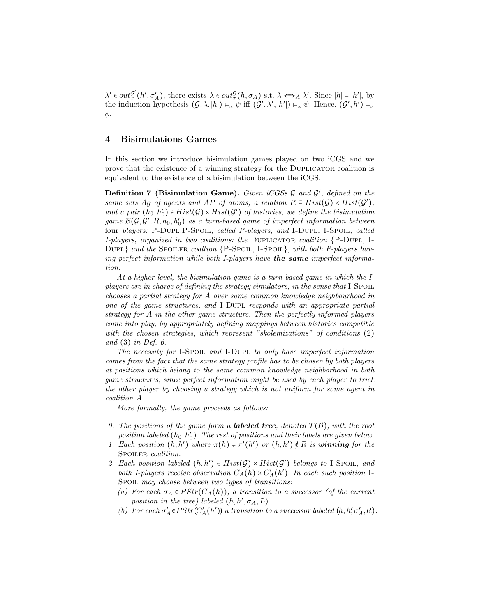$\lambda' \in out_{x}^{\mathcal{G}'}$  $\mathcal{G}'_x(h', \sigma'_A)$ , there exists  $\lambda \in out_x^{\mathcal{G}}(h, \sigma_A)$  s.t.  $\lambda \Leftrightarrow_A \lambda'$ . Since  $|h| = |h'|$ , by the induction hypothesis  $(G, \lambda, |h|) \models_x \psi$  iff  $(G', \lambda', |h'|) \models_x \psi$ . Hence,  $(G', h') \models_x \psi$ φ.

## 4 Bisimulations Games

In this section we introduce bisimulation games played on two iCGS and we prove that the existence of a winning strategy for the Duplicator coalition is equivalent to the existence of a bisimulation between the iCGS.

Definition 7 (Bisimulation Game). Given iCGSs  $\mathcal G$  and  $\mathcal G'$ , defined on the same sets Ag of agents and AP of atoms, a relation  $R \subseteq Hist(\mathcal{G}) \times Hist(\mathcal{G}')$ , and a pair  $(h_0, h'_0) \in Hist(\mathcal{G}) \times Hist(\mathcal{G}')$  of histories, we define the bisimulation game  $\mathcal{B}(\mathcal{G}, \mathcal{G}', R, h_0, h_0')$  as a turn-based game of imperfect information between four players: P-DUPL, P-SPOIL, called P-players, and I-DUPL, I-SPOIL, called I-players, organized in two coalitions: the DUPLICATOR coalition  ${P-DUPL, I}$ DUPL} and the SPOILER coaltion  ${P-Spoul}$ ,  $I-Spoul}$ , with both P-players having perfect information while both I-players have **the same** imperfect information.

At a higher-level, the bisimulation game is a turn-based game in which the Iplayers are in charge of defining the strategy simulators, in the sense that I-Spoil. chooses a partial strategy for A over some common knowledge neighbourhood in one of the game structures, and I-Dupl responds with an appropriate partial strategy for A in the other game structure. Then the perfectly-informed players come into play, by appropriately defining mappings between histories compatible with the chosen strategies, which represent "skolemizations" of conditions (2) and (3) in Def. 6.

The necessity for I-Spoil and I-Dupl to only have imperfect information comes from the fact that the same strategy profile has to be chosen by both players at positions which belong to the same common knowledge neighborhood in both game structures, since perfect information might be used by each player to trick the other player by choosing a strategy which is not uniform for some agent in coalition A.

More formally, the game proceeds as follows:

- 0. The positions of the game form a **labeled tree**, denoted  $T(\mathcal{B})$ , with the root position labeled  $(h_0, h'_0)$ . The rest of positions and their labels are given below.
- 1. Each position  $(h, h')$  where  $\pi(h) \neq \pi'(h')$  or  $(h, h') \notin R$  is winning for the SPOILER coalition.
- 2. Each position labeled  $(h, h') \in Hist(\mathcal{G}) \times Hist(\mathcal{G}')$  belongs to I-Spoil, and both I-players receive observation  $C_A(h) \times C'_A(h')$ . In each such position I-Spoil may choose between two types of transitions:
	- (a) For each  $\sigma_A \in PStr(C_A(h))$ , a transition to a successor (of the current position in the tree) labeled  $(h, h', \sigma_A, L)$ .
	- (b) For each  $\sigma'_A \in PStr(C'_A(h'))$  a transition to a successor labeled  $(h, h', \sigma'_A, R)$ .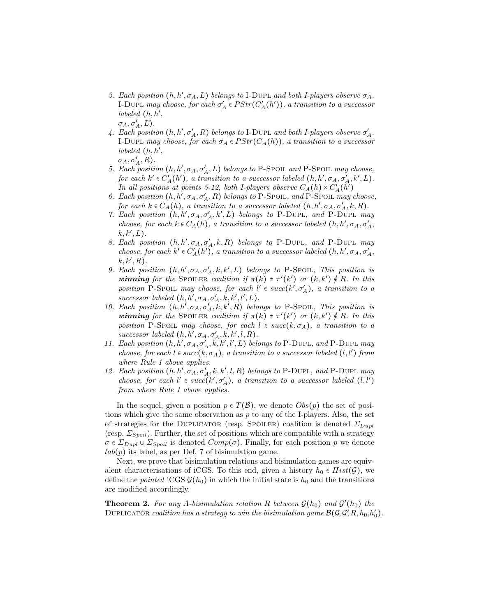- 3. Each position  $(h, h', \sigma_A, L)$  belongs to I-DUPL and both I-players observe  $\sigma_A$ . I-DUPL may choose, for each  $\sigma'_A \in PStr(C'_A(h'))$ , a transition to a successor labeled (h, h′ ,  $\sigma_A, \sigma'_A, L$ ).
- 4. Each position  $(h, h', \sigma'_A, R)$  belongs to I-DUPL and both I-players observe  $\sigma'_A$ . I-DUPL may choose, for each  $\sigma_A \in PStr(C_A(h))$ , a transition to a successor labeled (h, h′ ,  $\sigma_A, \sigma'_A, R$ ).
- 5. Each position  $(h, h', \sigma_A, \sigma'_A, L)$  belongs to P-Spoil and P-Spoil may choose, for each  $k' \in C'_{A}(h')$ , a transition to a successor labeled  $(h, h', \sigma_A, \sigma'_A, k', L)$ . In all positions at points 5-12, both I-players observe  $C_A(h) \times C'_A(h')$
- 6. Each position  $(h, h', \sigma_A, \sigma'_A, R)$  belongs to P-Spoil, and P-Spoil may choose, for each  $k \in C_A(h)$ , a transition to a successor labeled  $(h, h', \sigma_A, \sigma'_A, k, R)$ .
- 7. Each position  $(h, h', \sigma_A, \sigma'_A, k', L)$  belongs to P-DUPL, and P-DUPL may choose, for each  $k \in C_A(h)$ , a transition to a successor labeled  $(h, h', \sigma_A, \sigma'_A)$ ,  $k, k', L$ .
- 8. Each position  $(h, h', \sigma_A, \sigma'_A, k, R)$  belongs to P-DUPL, and P-DUPL may choose, for each  $k' \in C_A'(h')$ , a transition to a successor labeled  $(h, h', \sigma_A, \sigma'_A, \sigma'_B)$  $k, k', R$ ).
- 9. Each position  $(h, h', \sigma_A, \sigma'_A, k, k', L)$  belongs to P-Spoil, This position is winning for the SPOILER coalition if  $\pi(k) \neq \pi'(k')$  or  $(k, k') \notin R$ . In this position P-Spoil may choose, for each  $l' \in succ(k', \sigma'_{A})$ , a transition to a successor labeled  $(h, h', \sigma_A, \sigma'_A, k, k', l', L)$ .
- 10. Each position  $(h, h', \sigma_A, \sigma'_A, k, k', R)$  belongs to P-Spoil, This position is winning for the SPOILER coalition if  $\pi(k) \neq \pi'(k')$  or  $(k, k') \notin R$ . In this position P-Spoil may choose, for each  $l \in succ(k, \sigma_A)$ , a transition to a successor labeled  $(h, h', \sigma_A, \sigma'_A, k, k', l, R)$ .
- 11. Each position  $(h, h', \sigma_A, \sigma'_A, \vec{k}, \vec{k}', l', L)$  belongs to P-DUPL, and P-DUPL may choose, for each  $l \in succ(k, \sigma_A)$ , a transition to a successor labeled  $(l, l')$  from where Rule 1 above applies.
- 12. Each position  $(h, h', \sigma_A, \sigma'_A, k, k', l, R)$  belongs to P-DUPL, and P-DUPL may choose, for each  $l' \in succ(k', \sigma'_{A})$ , a transition to a successor labeled  $(l, l')$ from where Rule 1 above applies.

In the sequel, given a position  $p \in T(\mathcal{B})$ , we denote  $Obs(p)$  the set of positions which give the same observation as  $p$  to any of the I-players. Also, the set of strategies for the DUPLICATOR (resp. SPOILER) coalition is denoted  $\Sigma_{D}$ <sub>upl</sub> (resp.  $\Sigma_{Spoil}$ ). Further, the set of positions which are compatible with a strategy  $\sigma \in \Sigma_{Dupl} \cup \Sigma_{Spoil}$  is denoted  $Comp(\sigma)$ . Finally, for each position p we denote  $lab(p)$  its label, as per Def. 7 of bisimulation game.

Next, we prove that bisimulation relations and bisimulation games are equivalent characterisations of iCGS. To this end, given a history  $h_0 \in Hist(\mathcal{G})$ , we define the *pointed* iCGS  $\mathcal{G}(h_0)$  in which the initial state is  $h_0$  and the transitions are modified accordingly.

**Theorem 2.** For any A-bisimulation relation R between  $\mathcal{G}(h_0)$  and  $\mathcal{G}'(h_0)$  the DUPLICATOR coalition has a strategy to win the bisimulation game  $\mathcal{B}(\mathcal{G}, \mathcal{G}', R, h_0, h_0')$ .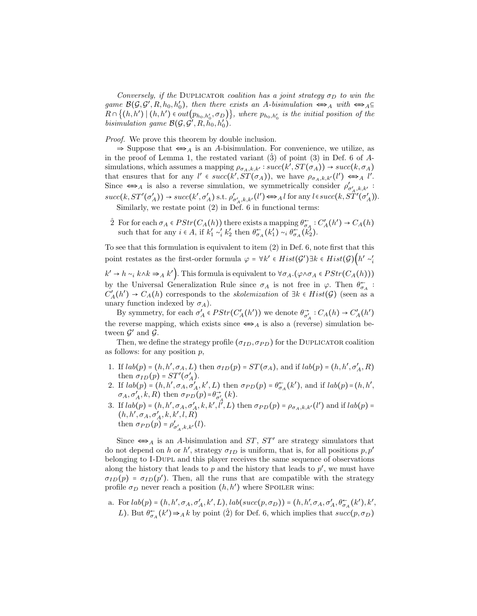Conversely, if the DUPLICATOR coalition has a joint strategy  $\sigma_D$  to win the game  $\mathcal{B}(\mathcal{G}, \mathcal{G}', R, h_0, h'_0)$ , then there exists an A-bisimulation  $\iff_A$  with  $\iff_A \subseteq$  $R \cap \{(h,h') \mid (h,h') \in out(p_{h_0,h'_0}, \sigma_D)\}\$ , where  $p_{h_0,h'_0}$  is the initial position of the bisimulation game  $\mathcal{B}(\mathcal{G}, \mathcal{G}', R, h_0, h'_0)$ .

*Proof.* We prove this theorem by double inclusion.

 $\Rightarrow$  Suppose that  $\Longleftrightarrow_A$  is an A-bisimulation. For convenience, we utilize, as in the proof of Lemma 1, the restated variant  $(3)$  of point  $(3)$  in Def. 6 of Asimulations, which assumes a mapping  $\rho_{\sigma_A,k,k'}$ : succ $(k', ST(\sigma_A)) \to succ(k, \sigma_A)$ that ensures that for any  $l' \in succ(k', ST(\sigma_A))$ , we have  $\rho_{\sigma_A,k,k'}(l') \Leftrightarrow_{A} l'$ . Since  $\iff$  is also a reverse simulation, we symmetrically consider  $\rho'_{\sigma'_{\lambda},k,k'}$ .  $succ(k, ST'(\sigma'_A)) \rightarrow succ(k', \sigma'_A) \text{ s.t. } \rho'_{\sigma'_A, k, k'}(l') \Longleftrightarrow_{A} l \text{ for any } l \in succ(k, ST'(\sigma'_A)).$ Similarly, we restate point (2) in Def. 6 in functional terms:

2 For for each  $\sigma_A \in PStr(C_A(h))$  there exists a mapping  $\theta_{\sigma_A}^{\leftarrow} : C_A'(h') \to C_A(h)$ such that for any  $i \in A$ , if  $k'_1 \sim'_i k'_2$  then  $\theta_{\sigma_A}^{\leftarrow}(k'_1) \sim_i \theta_{\sigma_A}^{\leftarrow}(k'_2)$ .

To see that this formulation is equivalent to item (2) in Def. 6, note first that this point restates as the first-order formula  $\varphi = \forall k' \in Hist(\mathcal{G}') \exists k \in Hist(\mathcal{G}) \Big( h' \sim_i'$  $k' \to h \sim_i k \wedge k \Rightarrow_A k'$ . This formula is equivalent to  $\forall \sigma_A.(\varphi \wedge \sigma_A \in PStr(C_A(h)))$ by the Universal Generalization Rule since  $\sigma_A$  is not free in  $\varphi$ . Then  $\theta_{\sigma_A}^{\leftarrow}$ :  $C_A'(h') \to C_A(h)$  corresponds to the *skolemization* of  $\exists k \in Hist(\mathcal{G})$  (seen as a unary function indexed by  $\sigma_A$ ).

By symmetry, for each  $\sigma'_A \in PStr(C'_A(h'))$  we denote  $\theta_{\sigma'}^{\rightarrow}$  $\overrightarrow{\sigma_A}: C_A(h) \to C'_A(h')$ the reverse mapping, which exists since  $\iff$ <sub>A</sub> is also a (reverse) simulation between  $\mathcal{G}'$  and  $\mathcal{G}$ .

Then, we define the strategy profile  $(\sigma_{ID}, \sigma_{PD})$  for the DUPLICATOR coalition as follows: for any position  $p$ ,

- 1. If  $lab(p) = (h, h', \sigma_A, L)$  then  $\sigma_{ID}(p) = ST(\sigma_A)$ , and if  $lab(p) = (h, h', \sigma'_A, R)$ then  $\sigma_{ID}(p) = ST'(\sigma'_A)$ .
- 2. If  $lab(p) = (h, h', \sigma_A, \sigma'_A, k', L)$  then  $\sigma_{PD}(p) = \theta_{\sigma_A}^{\leftarrow}(k')$ , and if  $lab(p) = (h, h', L)$  $\sigma_A, \sigma'_A, k, R$ ) then  $\sigma_{PD}(p) = \theta_{\sigma'_A}^{\rightarrow}(k)$ .
- 3. If  $lab(p) = (h, h', \sigma_A, \sigma'_A, k, k', \hat{l}', L)$  then  $\sigma_{PD}(p) = \rho_{\sigma_A, k, k'}(l')$  and if  $lab(p) =$  $(h, h', \sigma_A, \sigma'_A, k, k', l, R)$ then  $\sigma_{PD}(p) = \rho'_{\sigma'_{A},k,k'}(l)$ .

Since  $\iff$ <sub>A</sub> is an A-bisimulation and ST, ST' are strategy simulators that do not depend on h or h', strategy  $\sigma_{ID}$  is uniform, that is, for all positions  $p, p'$ belonging to I-Dupl and this player receives the same sequence of observations along the history that leads to  $p$  and the history that leads to  $p'$ , we must have  $\sigma_{ID}(p) = \sigma_{ID}(p')$ . Then, all the runs that are compatible with the strategy profile  $\sigma_D$  never reach a position  $(h, h')$  where SPOILER wins:

a. For  $lab(p) = (h, h', \sigma_A, \sigma'_A, k', L), lab(succ(p, \sigma_D)) = (h, h', \sigma_A, \sigma'_A, \theta^{\leftarrow}_{\sigma_A}(k'), k',$ L). But  $\theta_{\sigma_A}^{\leftarrow}(k') \Rightarrow_A k$  by point (2) for Def. 6, which implies that  $succ(p, \sigma_D)$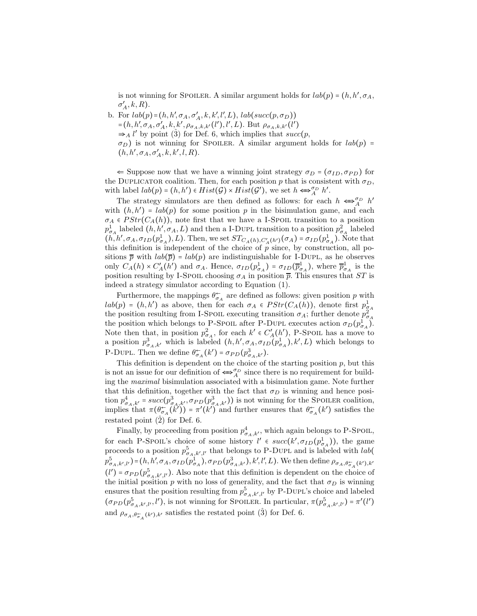is not winning for SPOILER. A similar argument holds for  $lab(p) = (h, h', \sigma_A,$  $\sigma'_A, k, R$ ).

b. For  $lab(p) = (h, h', \sigma_A, \sigma'_A, k, k', l', L), lab(succ(p, \sigma_D))$ =(h, h',  $\sigma_A$ ,  $\sigma'_A$ , k, k',  $\rho_{\sigma_A, k, k'}(l'), l', L$ ). But  $\rho_{\sigma_A, k, k'}(l')$  $\Rightarrow$  A l' by point (3) for Def. 6, which implies that succ(p,  $\sigma_D$ ) is not winning for SPOILER. A similar argument holds for  $lab(p)$  =  $(h, h', \sigma_A, \sigma'_A, k, k', l, R).$ 

 $\Leftarrow$  Suppose now that we have a winning joint strategy  $\sigma_D = (\sigma_{ID}, \sigma_{PD})$  for the DUPLICATOR coalition. Then, for each position p that is consistent with  $\sigma_D$ , with label  $lab(p) = (h, h') \in Hist(\mathcal{G}) \times Hist(\mathcal{G}')$ , we set  $h \Longleftrightarrow_A^{\sigma_D} h'.$ 

The strategy simulators are then defined as follows: for each  $h \iff_A^{\sigma_D} h'$ with  $(h, h') = lab(p)$  for some position p in the bisimulation game, and each  $\sigma_A \in PStr(C_A(h))$ , note first that we have a I-Spoil transition to a position  $p_{\sigma_A}^1$  labeled  $(h, h', \sigma_A, L)$  and then a I-DUPL transition to a position  $p_{\sigma_A}^2$  labeled  $(h, h', \sigma_A, \sigma_{ID}(p_{\sigma_A}^1), L)$ . Then, we set  $ST_{C_A(h), C'_A(h')}(\sigma_A) = \sigma_{ID}(p_{\sigma_A}^1)$ . Note that this definition is independent of the choice of  $\hat{p}$  since, by construction, all positions  $\bar{p}$  with  $lab(\bar{p}) = lab(p)$  are indistinguishable for I-DUPL, as he observes only  $C_A(h) \times C_A(h')$  and  $\sigma_A$ . Hence,  $\sigma_{ID}(p_{\sigma_A}^1) = \sigma_{ID}(\overline{p}_{\sigma_A}^1)$  $(\frac{1}{\sigma_A})$ , where  $\overline{p}^1_{\sigma}$  $\frac{1}{\sigma_A}$  is the position resulting by I-Spoil choosing  $\sigma_A$  in position  $\overline{p}$ . This ensures that ST is indeed a strategy simulator according to Equation (1).

Furthermore, the mappings  $\theta_{\sigma_A}^{\leftarrow}$  are defined as follows: given position p with  $lab(p) = (h, h')$  as above, then for each  $\sigma_A \in PStr(C_A(h))$ , denote first  $p_{\sigma_A}^1$ the position resulting from I-Spoil executing transition  $\sigma_A$ ; further denote  $p_{\sigma_A}^2$ the position which belongs to P-Spoil after P-DUPL executes action  $\sigma_D(p_{\sigma_A}^{\hat{1}})$ . Note then that, in position  $p_{\sigma_A}^2$ , for each  $k' \in C_A'(h')$ , P-Spoil has a move to a position  $p_{\sigma_A,k'}^3$  which is labeled  $(h, h', \sigma_A, \sigma_{ID}(p_{\sigma_A}^1), k', L)$  which belongs to P-DUPL. Then we define  $\theta_{\sigma_A}^{\leftarrow}(k') = \sigma_{PD}(p_{\sigma_A,k'}^3)$ .

This definition is dependent on the choice of the starting position  $p$ , but this is not an issue for our definition of  $\Longleftrightarrow_{A}^{\sigma_D}$  since there is no requirement for building the maximal bisimulation associated with a bisimulation game. Note further that this definition, together with the fact that  $\sigma_D$  is winning and hence position  $p_{\sigma_A,k'}^4 = succ(p_{\sigma_A,k'}^3, \sigma_{PD}(p_{\sigma_A,k'}^3))$  is not winning for the SPOILER coalition, implies that  $\pi(\theta_{\sigma_A}^{\leftarrow}(k')) = \pi'(k')$  and further ensures that  $\theta_{\sigma_A}^{\leftarrow}(k')$  satisfies the restated point  $(\hat{2})$  for Def. 6.

Finally, by proceeding from position  $p_{\sigma_A,k'}^4$ , which again belongs to P-Spoil, for each P-Spoil's choice of some history  $l' \in succ(k',\sigma_{ID}(p_{\sigma_A}^1))$ , the game proceeds to a position  $p_{\sigma_A, k', l'}^5$  that belongs to P-DUPL and is labeled with *lab*(  $p_{\sigma_A, k', l'}^5$  =  $(h, h', \sigma_A, \sigma_{ID}(\rho_{\sigma_A}^1), \sigma_{PD}(\rho_{\sigma_A, k'}^3), k', l', L)$ . We then define  $\rho_{\sigma_A, \theta_{\sigma_A}^+(k'), k'}$  $(l') = \sigma_{PD}(p_{\sigma_A, k', l'}^5)$ . Also note that this definition is dependent on the choice of the initial position  $p$  with no loss of generality, and the fact that  $\sigma_D$  is winning ensures that the position resulting from  $p_{\sigma_A, k', l'}^5$  by P-DUPL's choice and labeled  $(\sigma_{PD}(p_{\sigma_A,k',l'}^5,l'),$  is not winning for Spoiler. In particular,  $\pi(p_{\sigma_A,k',l'}^5) = \pi'(l')$ and  $\rho_{\sigma_A, \theta_{\sigma_A}^{\leftarrow}(k'), k'}$  satisfies the restated point (3) for Def. 6.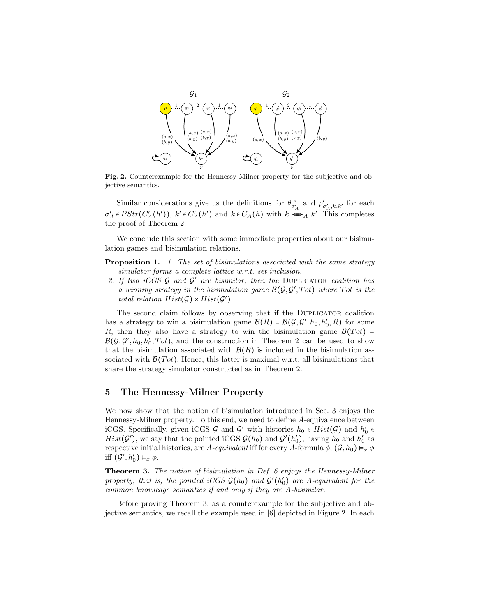

Fig. 2. Counterexample for the Hennessy-Milner property for the subjective and objective semantics.

Similar considerations give us the definitions for  $\theta_{\sigma'_A}^{\rightarrow}$  and  $\rho'_{\sigma'_A,k,k'}$  for each  $\sigma'_A \in PStr(C_A'(h'))$ ,  $k' \in C_A'(h')$  and  $k \in C_A(h)$  with  $k \Leftrightarrow_A k'$ . This completes the proof of Theorem 2.

We conclude this section with some immediate properties about our bisimulation games and bisimulation relations.

- **Proposition 1.** 1. The set of bisimulations associated with the same strategy simulator forms a complete lattice w.r.t. set inclusion.
- 2. If two iCGS  $\mathcal G$  and  $\mathcal G'$  are bisimilar, then the DUPLICATOR coalition has a winning strategy in the bisimulation game  $\mathcal{B}(\mathcal{G}, \mathcal{G}', Tot)$  where  $Tot$  is the total relation  $Hist(\mathcal{G})\times Hist(\mathcal{G}')$ .

The second claim follows by observing that if the Duplicator coalition has a strategy to win a bisimulation game  $\mathcal{B}(R) = \mathcal{B}(\mathcal{G}, \mathcal{G}', h_0, h'_0, R)$  for some R, then they also have a strategy to win the bisimulation game  $\mathcal{B}(Tot)$  =  $\mathcal{B}(\mathcal{G}, \mathcal{G}', h_0, h'_0, \mathcal{T}ot),$  and the construction in Theorem 2 can be used to show that the bisimulation associated with  $\mathcal{B}(R)$  is included in the bisimulation associated with  $\mathcal{B}(Tot)$ . Hence, this latter is maximal w.r.t. all bisimulations that share the strategy simulator constructed as in Theorem 2.

# 5 The Hennessy-Milner Property

We now show that the notion of bisimulation introduced in Sec. 3 enjoys the Hennessy-Milner property. To this end, we need to define A-equivalence between iCGS. Specifically, given iCGS  $\mathcal G$  and  $\mathcal G'$  with histories  $h_0 \in Hist(\mathcal G)$  and  $h'_0 \in$  $Hist(\mathcal{G}')$ , we say that the pointed iCGS  $\mathcal{G}(h_0)$  and  $\mathcal{G}'(h'_0)$ , having  $h_0$  and  $h'_0$  as respective initial histories, are A-equivalent iff for every A-formula  $\phi$ ,  $(\mathcal{G}, h_0) \vDash_x \phi$ iff  $(\mathcal{G}', h_0') \vDash_x \phi$ .

Theorem 3. The notion of bisimulation in Def. 6 enjoys the Hennessy-Milner property, that is, the pointed iCGS  $\mathcal{G}(h_0)$  and  $\mathcal{G}'(h'_0)$  are A-equivalent for the common knowledge semantics if and only if they are A-bisimilar.

Before proving Theorem 3, as a counterexample for the subjective and objective semantics, we recall the example used in [6] depicted in Figure 2. In each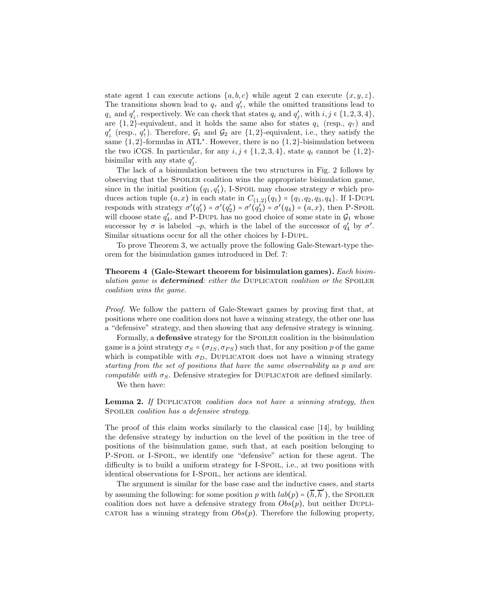state agent 1 can execute actions  $\{a, b, c\}$  while agent 2 can execute  $\{x, y, z\}$ . The transitions shown lead to  $q_{\text{T}}$  and  $q'_{\text{T}}$ , while the omitted transitions lead to  $q_{\perp}$  and  $q'_{\perp}$ , respectively. We can check that states  $q_i$  and  $q'_j$ , with  $i, j \in \{1, 2, 3, 4\}$ , are  $\{1,2\}$ -equivalent, and it holds the same also for states  $q_{\perp}$  (resp.,  $q_{\perp}$ ) and  $q'_{\perp}$  (resp.,  $q'_{\perp}$ ). Therefore,  $\mathcal{G}_1$  and  $\mathcal{G}_2$  are  $\{1,2\}$ -equivalent, i.e., they satisfy the same  ${1, 2}$ -formulas in ATL<sup>\*</sup>. However, there is no  ${1, 2}$ -bisimulation between the two iCGS. In particular, for any  $i, j \in \{1, 2, 3, 4\}$ , state  $q_i$  cannot be  $\{1, 2\}$ bisimilar with any state  $q'_j$ .

The lack of a bisimulation between the two structures in Fig. 2 follows by observing that the SPOILER coalition wins the appropriate bisimulation game, since in the initial position  $(q_1, q'_1)$ , I-Spoil may choose strategy  $\sigma$  which produces action tuple  $(a, x)$  in each state in  $C_{\{1,2\}}(q_1) = \{q_1, q_2, q_3, q_4\}$ . If I-DUPL responds with strategy  $\sigma'(q'_1) = \sigma'(q'_2) = \sigma'(q'_3) = \sigma'(q_4) = (a, x)$ , then P-Spoil will choose state  $q'_4$ , and P-DUPL has no good choice of some state in  $\mathcal{G}_1$  whose successor by  $\sigma$  is labeled  $\neg p$ , which is the label of the successor of  $q'_4$  by  $\sigma'$ . Similar situations occur for all the other choices by I-Dupl.

To prove Theorem 3, we actually prove the following Gale-Stewart-type theorem for the bisimulation games introduced in Def. 7:

Theorem 4 (Gale-Stewart theorem for bisimulation games). Each bisimulation game is **determined**: either the DUPLICATOR coalition or the SPOILER coalition wins the game.

Proof. We follow the pattern of Gale-Stewart games by proving first that, at positions where one coalition does not have a winning strategy, the other one has a "defensive" strategy, and then showing that any defensive strategy is winning.

Formally, a **defensive** strategy for the SPOILER coalition in the bisimulation game is a joint strategy  $\sigma_S = (\sigma_{IS}, \sigma_{PS})$  such that, for any position p of the game which is compatible with  $\sigma_D$ , DUPLICATOR does not have a winning strategy starting from the set of positions that have the same observability as p and are compatible with  $\sigma_S$ . Defensive strategies for DUPLICATOR are defined similarly.

We then have:

Lemma 2. If DUPLICATOR coalition does not have a winning strategy, then SPOILER coalition has a defensive strategy.

The proof of this claim works similarly to the classical case [14], by building the defensive strategy by induction on the level of the position in the tree of positions of the bisimulation game, such that, at each position belonging to P-Spoil or I-Spoil, we identify one "defensive" action for these agent. The difficulty is to build a uniform strategy for I-SPOIL, i.e., at two positions with identical observations for I-Spoil, her actions are identical.

The argument is similar for the base case and the inductive cases, and starts by assuming the following: for some position p with  $lab(p) = (\overline{h}, \overline{h}')$ , the SPOILER coalition does not have a defensive strategy from  $Obs(p)$ , but neither DUPLIcator has a winning strategy from  $Obs(p)$ . Therefore the following property,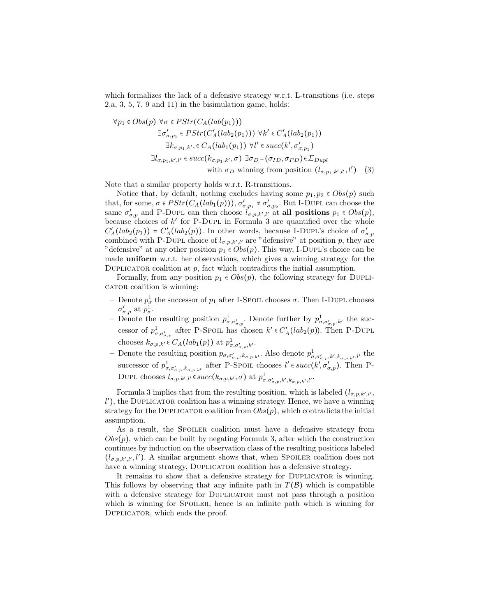which formalizes the lack of a defensive strategy w.r.t. L-transitions (i.e. steps 2.a, 3, 5, 7, 9 and 11) in the bisimulation game, holds:

$$
\forall p_1 \in Obs(p) \ \forall \sigma \in PStr(C_A(lab(p_1)))
$$
  
\n
$$
\exists \sigma'_{\sigma, p_1} \in PStr(C'_A(lab_2(p_1))) \ \forall k' \in C'_A(lab_2(p_1))
$$
  
\n
$$
\exists k_{\sigma, p_1, k'}, \in C_A(lab_1(p_1)) \ \forall l' \in succ(k', \sigma'_{\sigma, p_1})
$$
  
\n
$$
\exists l_{\sigma, p_1, k', l'} \in succ(k_{\sigma, p_1, k'}, \sigma) \ \exists \sigma_D = (\sigma_{ID}, \sigma_{PD}) \in \Sigma_{Dupl}
$$
  
\nwith  $\sigma_D$  winning from position  $(l_{\sigma, p_1, k', l'}, l')$  (3)

Note that a similar property holds w.r.t. R-transitions.

Notice that, by default, nothing excludes having some  $p_1, p_2 \in Obs(p)$  such that, for some,  $\sigma \in PStr(C_A(lab_1(p))), \sigma'_{\sigma, p_1} \neq \sigma'_{\sigma, p_2}$ . But I-DUPL can choose the same  $\sigma'_{\sigma,p}$  and P-DUPL can then choose  $l_{\sigma,p,k',l'}$  at all positions  $p_1 \in Obs(p)$ , because choices of  $k'$  for P-DUPL in Formula 3 are quantified over the whole  $C'_{A}(lab_2(p_1)) = C'_{A}(lab_2(p))$ . In other words, because I-DUPL's choice of  $\sigma'_{\sigma,p}$  combined with P-DUPL choice of  $l_{\sigma,p,k',l'}$  are "defensive" at position p, they are "defensive" at any other position  $p_1 \in Obs(p)$ . This way, I-DUPL's choice can be made uniform w.r.t. her observations, which gives a winning strategy for the DUPLICATOR coalition at  $p$ , fact which contradicts the initial assumption.

Formally, from any position  $p_1 \in Obs(p)$ , the following strategy for DUPLIcator coalition is winning:

- Denote  $p_{\sigma}^1$  the successor of  $p_1$  after I-Spoil chooses  $\sigma$ . Then I-DUPL chooses  $\sigma_{\sigma,p}^{\prime}$  at  $p_{\sigma}^{\mathbb{I}}$ .
- Denote the resulting position  $p_{\sigma,\sigma'_{\sigma,p}}^1$ . Denote further by  $p_{\sigma,\sigma'_{\sigma,p},k'}^1$  the successor of  $p_{\sigma,\sigma'_{\sigma,p}}^1$  after P-Spoil has chosen  $k' \in C'_{\mathcal{A}}(lab_2(p))$ . Then P-DUPL chooses  $k_{\sigma,p,k'} \in C_A(lab_1(p))$  at  $p^1_{\sigma,\sigma'_{\sigma,p},k'}.$
- Denote the resulting position  $p_{\sigma,\sigma'_{\sigma,p},k_{\sigma,p,k'}}$ . Also denote  $p^1_{\sigma,\sigma'_{\sigma,p},k',k_{\sigma,p,k'},l'}$  the successor of  $p^1_{\sigma,\sigma'_{\sigma,p},k_{\sigma,p,k'}}$  after P-Spoil chooses  $l' \in succ(k',\sigma'_{\sigma,p})$ . Then P-DUPL chooses  $l_{\sigma,p,k',l'} \in succ(k_{\sigma,p,k'},\sigma)$  at  $p^1_{\sigma,\sigma'_{\sigma,p},k',k_{\sigma,p,k'},l'}$ .

Formula 3 implies that from the resulting position, which is labeled  $(l_{\sigma,p,k',l'},$ l'), the DUPLICATOR coalition has a winning strategy. Hence, we have a winning strategy for the DUPLICATOR coalition from  $Obs(p)$ , which contradicts the initial assumption.

As a result, the SPOILER coalition must have a defensive strategy from  $Obs(p)$ , which can be built by negating Formula 3, after which the construction continues by induction on the observation class of the resulting positions labeled  $(l_{\sigma,p,k',l'},l')$ . A similar argument shows that, when SPOILER coalition does not have a winning strategy, DUPLICATOR coalition has a defensive strategy.

It remains to show that a defensive strategy for DUPLICATOR is winning. This follows by observing that any infinite path in  $T(\mathcal{B})$  which is compatible with a defensive strategy for DUPLICATOR must not pass through a position which is winning for SPOILER, hence is an infinite path which is winning for Duplicator, which ends the proof.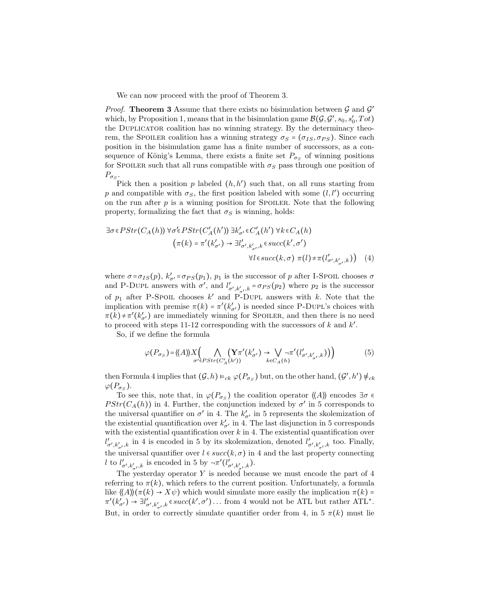We can now proceed with the proof of Theorem 3.

*Proof.* Theorem 3 Assume that there exists no bisimulation between  $G$  and  $G'$ which, by Proposition 1, means that in the bisimulation game  $\mathcal{B}(\mathcal{G}, \mathcal{G}', s_0, s'_0, Tot)$ the Duplicator coalition has no winning strategy. By the determinacy theorem, the SPOILER coalition has a winning strategy  $\sigma_S = (\sigma_{IS}, \sigma_{PS})$ . Since each position in the bisimulation game has a finite number of successors, as a consequence of König's Lemma, there exists a finite set  $P_{\sigma_S}$  of winning positions for SPOILER such that all runs compatible with  $\sigma_S$  pass through one position of  $P_{\sigma_S}$ .

Pick then a position  $p$  labeled  $(h, h')$  such that, on all runs starting from p and compatible with  $\sigma_S$ , the first position labeled with some  $(l, l')$  occurring on the run after  $p$  is a winning position for SPOILER. Note that the following property, formalizing the fact that  $\sigma_S$  is winning, holds:

$$
\exists \sigma \in PStr(C_A(h)) \,\forall \sigma' \in PStr(C'_A(h')) \,\exists k'_{\sigma'} \in C'_A(h') \,\forall k \in C_A(h) \n\left(\pi(k) = \pi'(k'_{\sigma'}) \to \exists l'_{\sigma', k'_{\sigma'}, k} \in succ(k', \sigma')\right) \n\forall l \in succ(k, \sigma) \,\pi(l) \neq \pi(l'_{\sigma', k'_{\sigma'}, k})
$$
\n(4)

where  $\sigma = \sigma_{IS}(p)$ ,  $k'_{\sigma'} = \sigma_{PS}(p_1)$ ,  $p_1$  is the successor of p after I-Spoil chooses  $\sigma$ and P-DUPL answers with  $\sigma'$ , and  $l'_{\sigma', k'_{\sigma'}, k} = \sigma_{PS}(p_2)$  where  $p_2$  is the successor of  $p_1$  after P-Spoil chooses k' and P-DUPL answers with k. Note that the implication with premise  $\pi(k) = \pi'(k'_{\sigma'})$  is needed since P-DUPL's choices with  $\pi(k) \neq \pi'(k'_{\sigma'})$  are immediately winning for SPOILER, and then there is no need to proceed with steps 11-12 corresponding with the successors of  $k$  and  $k'$ .

So, if we define the formula

$$
\varphi(P_{\sigma_S}) = \langle \!\langle A \rangle \rangle \langle X \bigg( \bigwedge_{\sigma' \in PStr(C'_A(h'))} \big( \mathbf{Y} \pi'(k'_{\sigma'}) \to \bigvee_{k \in C_A(h)} \neg \pi'(l'_{\sigma', k'_{\sigma'}, k}) \big) \bigg) \tag{5}
$$

then Formula 4 implies that  $(G, h) \models_{ck} \varphi(P_{\sigma_S})$  but, on the other hand,  $(G', h') \notin_{ck}$  $\varphi(P_{\sigma_S}).$ 

To see this, note that, in  $\varphi(P_{\sigma_S})$  the coalition operator  $\langle \nvert A \rangle$  encodes  $\exists \sigma \in \mathcal{L}$  $PStr(C_A(h))$  in 4. Further, the conjunction indexed by  $\sigma'$  in 5 corresponds to the universal quantifier on  $\sigma'$  in 4. The  $k'_{\sigma'}$  in 5 represents the skolemization of the existential quantification over  $k'_{\sigma'}$  in 4. The last disjunction in 5 corresponds with the existential quantification over  $k$  in 4. The existential quantification over  $l'_{\sigma',k'_{\sigma'},k}$  in 4 is encoded in 5 by its skolemization, denoted  $l'_{\sigma',k'_{\sigma'},k}$  too. Finally, the universal quantifier over  $l \in succ(k, \sigma)$  in 4 and the last property connecting l to  $l'_{\sigma',k'_{\sigma'},k}$  is encoded in 5 by  $\neg \pi'(l'_{\sigma',k'_{\sigma'},k})$ .

The yesterday operator  $Y$  is needed because we must encode the part of  $4$ referring to  $\pi(k)$ , which refers to the current position. Unfortunately, a formula like  $\langle A \rangle(\pi(k) \to X\psi)$  which would simulate more easily the implication  $\pi(k)$  =  $\pi'(k'_{\sigma'}) \to \exists l'_{\sigma',k'_{\sigma'},k} \in succ(k',\sigma') \dots$  from 4 would not be ATL but rather ATL<sup>\*</sup>. But, in order to correctly simulate quantifier order from 4, in 5  $\pi(k)$  must lie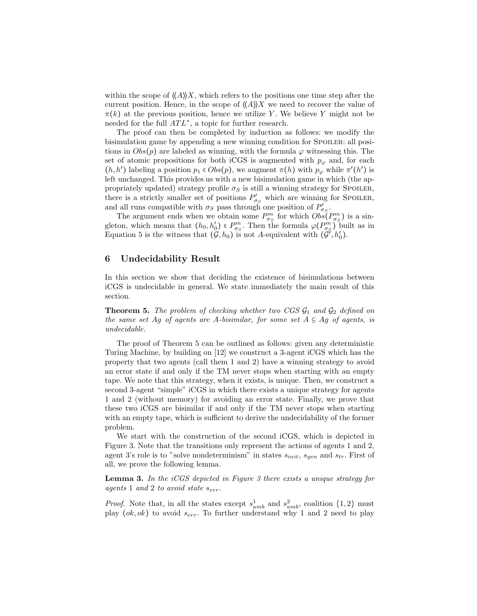within the scope of  $\langle A \rangle X$ , which refers to the positions one time step after the current position. Hence, in the scope of  $\langle\langle A \rangle\rangle X$  we need to recover the value of  $\pi(k)$  at the previous position, hence we utilize Y. We believe Y might not be needed for the full  $ATL^*$ , a topic for further research.

The proof can then be completed by induction as follows: we modify the bisimulation game by appending a new winning condition for SPOILER: all positions in  $Obs(p)$  are labeled as winning, with the formula  $\varphi$  witnessing this. The set of atomic propositions for both iCGS is augmented with  $p_{\varphi}$  and, for each  $(h, h')$  labeling a position  $p_1 \in Obs(p)$ , we augment  $\pi(h)$  with  $p_\varphi$  while  $\pi'(h')$  is left unchanged. This provides us with a new bisimulation game in which (the appropriately updated) strategy profile  $\sigma_S$  is still a winning strategy for SPOILER, there is a strictly smaller set of positions  $P'_{\sigma_S}$  which are winning for SPOILER, and all runs compatible with  $\sigma_S$  pass through one position of  $P'_{\sigma_S}$ .

The argument ends when we obtain some  $P_{\sigma_S}^m$  for which  $Obs(P_{\sigma_S}^m)$  is a singleton, which means that  $(h_0, h'_0) \in P_{\sigma_S}^m$ . Then the formula  $\varphi(P_{\sigma_S}^m)$  built as in Equation 5 is the witness that  $(G, h_0)$  is not A-equivalent with  $(G', h'_0)$ .

## 6 Undecidability Result

In this section we show that deciding the existence of bisimulations between iCGS is undecidable in general. We state immediately the main result of this section.

**Theorem 5.** The problem of checking whether two CGS  $\mathcal{G}_1$  and  $\mathcal{G}_2$  defined on the same set Ag of agents are A-bisimilar, for some set  $A \subseteq Ag$  of agents, is undecidable.

The proof of Theorem 5 can be outlined as follows: given any deterministic Turing Machine, by building on [12] we construct a 3-agent iCGS which has the property that two agents (call them 1 and 2) have a winning strategy to avoid an error state if and only if the TM never stops when starting with an empty tape. We note that this strategy, when it exists, is unique. Then, we construct a second 3-agent "simple" iCGS in which there exists a unique strategy for agents 1 and 2 (without memory) for avoiding an error state. Finally, we prove that these two iCGS are bisimilar if and only if the TM never stops when starting with an empty tape, which is sufficient to derive the undecidability of the former problem.

We start with the construction of the second iCGS, which is depicted in Figure 3. Note that the transitions only represent the actions of agents 1 and 2, agent 3's role is to "solve nondeterminism" in states  $s_{init}$ ,  $s_{gen}$  and  $s_{tr}$ . First of all, we prove the following lemma.

**Lemma 3.** In the  $iCGS$  depicted in Figure 3 there exists a unique strategy for agents 1 and 2 to avoid state  $s_{err}$ .

*Proof.* Note that, in all the states except  $s_{amb}^1$  and  $s_{amb}^2$ , coalition  $\{1,2\}$  must play  $(\alpha k, \alpha k)$  to avoid  $s_{err}$ . To further understand why 1 and 2 need to play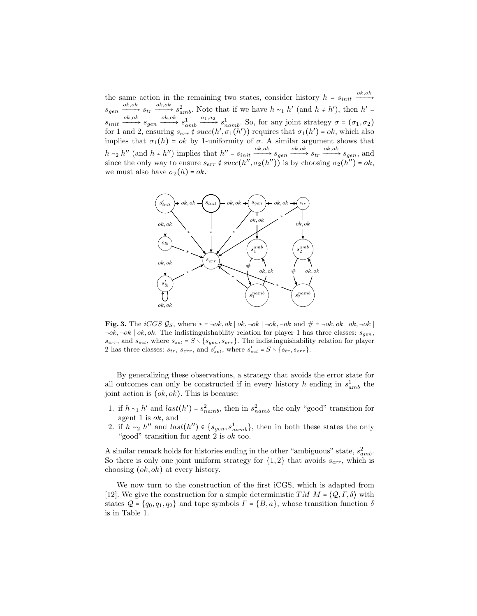the same action in the remaining two states, consider history  $h = s_{init} \xrightarrow{ok,ok}$  $s_{gen} \xrightarrow{ok,ok} s_{tr} \xrightarrow{ok,ok} s_{amb}^2$ . Note that if we have  $h \sim_1 h'$  (and  $h \neq h'$ ), then  $h' =$  $s_{init} \xrightarrow{ok,ok} s_{gen} \xrightarrow{ok,ok} s_a^1$  $\lim_{amb} \xrightarrow{a_1, a_2} s_{namb}^1$ . So, for any joint strategy  $\sigma = (\sigma_1, \sigma_2)$ for 1 and 2, ensuring  $s_{err} \notin succ(h', \sigma_1(h'))$  requires that  $\sigma_1(h') = ok$ , which also implies that  $\sigma_1(h) = \alpha k$  by 1-uniformity of  $\sigma$ . A similar argument shows that  $h \sim_2 h''$  (and  $h \neq h''$ ) implies that  $h'' = s_{init} \xrightarrow{ok,ok} s_{gen} \xrightarrow{ok,ok} s_{tr} \xrightarrow{ok,ok} s_{gen}$ , and since the only way to ensure  $s_{err} \notin succ(h'', \sigma_2(h''))$  is by choosing  $\sigma_2(h'') = ok$ , we must also have  $\sigma_2(h) = ok$ .



**Fig. 3.** The iCGS  $\mathcal{G}_S$ , where  $* = \neg ok, ok \mid ok, \neg ok \mid \neg ok, \neg ok \mid ak, \neg ok \mid \# = \neg ok, ok \mid ok, \neg ok \mid$  $\neg ok, \neg ok \mid ok, ok.$  The indistinguishability relation for player 1 has three classes:  $s_{gen}$ ,  $s_{err}$ , and  $s_{set}$ , where  $s_{set} = S \setminus \{s_{gen}, s_{err}\}$ . The indistinguishability relation for player 2 has three classes:  $s_{tr}$ ,  $s_{err}$ , and  $s'_{set}$ , where  $s'_{set} = S \setminus \{s_{tr}, s_{err}\}.$ 

By generalizing these observations, a strategy that avoids the error state for all outcomes can only be constructed if in every history h ending in  $s_{amb}^1$  the joint action is  $(ok, ok)$ . This is because:

- 1. if  $h \sim_1 h'$  and  $last(h') = s_{namb}^2$ , then in  $s_{namb}^2$  the only "good" transition for agent 1 is ok, and
- 2. if  $h \sim_2 h''$  and  $last(h'') \in \{s_{gen}, s_{namb}^1\}$ , then in both these states the only "good" transition for agent 2 is ok too.

A similar remark holds for histories ending in the other "ambiguous" state,  $s_{amb}^2$ . So there is only one joint uniform strategy for  $\{1,2\}$  that avoids  $s_{err}$ , which is choosing (ok, ok) at every history.

We now turn to the construction of the first iCGS, which is adapted from [12]. We give the construction for a simple deterministic  $TM \, M = \langle \mathcal{Q}, \Gamma, \delta \rangle$  with states  $Q = \{q_0, q_1, q_2\}$  and tape symbols  $\Gamma = \{B, a\}$ , whose transition function  $\delta$ is in Table 1.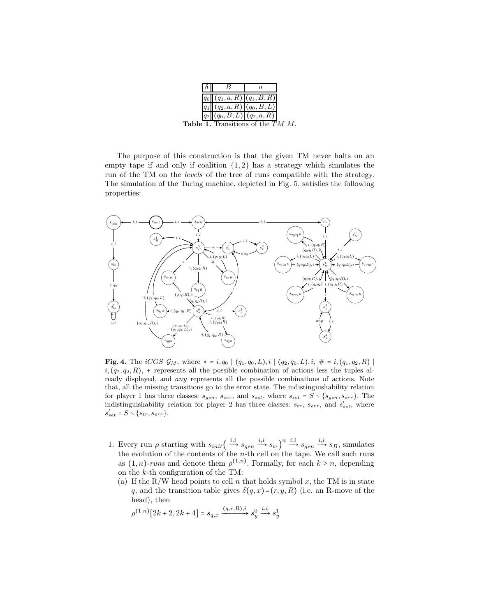|  | $ q_0  (q_1, a, R) (q_1, B, R)$               |                               |  |
|--|-----------------------------------------------|-------------------------------|--|
|  |                                               | $(q_2, a, R)   (q_0, B, L)  $ |  |
|  | $q_2 (q_0,B,L) (q_2,a,R) $                    |                               |  |
|  | <b>Table 1.</b> Transitions of the $TM$ $M$ . |                               |  |

The purpose of this construction is that the given TM never halts on an empty tape if and only if coalition  $\{1, 2\}$  has a strategy which simulates the run of the TM on the levels of the tree of runs compatible with the strategy. The simulation of the Turing machine, depicted in Fig. 5, satisfies the following properties:



**Fig. 4.** The *iCGS*  $\mathcal{G}_M$ , where  $* = i, q_0 \mid (q_1, q_0, L), i \mid (q_2, q_0, L), i, \# = i, (q_1, q_2, R) \mid (q_1, q_1, L)$  $i, (q_2, q_2, R)$ , + represents all the possible combination of actions less the tuples already displayed, and any represents all the possible combinations of actions. Note that, all the missing transitions go to the error state. The indistinguishability relation for player 1 has three classes:  $s_{gen}$ ,  $s_{err}$ , and  $s_{set}$ , where  $s_{set} = S \setminus \{s_{gen}, s_{err}\}$ . The indistinguishability relation for player 2 has three classes:  $s_{tr}$ ,  $s_{err}$ , and  $s'_{set}$ , where  $s'_{set} = S \setminus \{s_{tr}, s_{err}\}.$ 

- 1. Every run  $\rho$  starting with  $s_{init}(\stackrel{i.i}{\longrightarrow} s_{gen} \stackrel{i.i}{\longrightarrow} s_{tr})^n \stackrel{i.i}{\longrightarrow} s_{gen} \stackrel{i.i}{\longrightarrow} s_B$ , simulates the evolution of the contents of the  $n$ -th cell on the tape. We call such runs as  $(1, n)$ -runs and denote them  $\rho^{(1,n)}$ . Formally, for each  $k \geq n$ , depending on the k-th configuration of the TM:
	- (a) If the R/W head points to cell n that holds symbol x, the TM is in state q, and the transition table gives  $\delta(q, x) = (r, y, R)$  (i.e. an R-move of the head), then

$$
\rho^{(1,n)}[2k+2, 2k+4] = s_{q,x} \xrightarrow{(q,r,R),i} s_y^0 \xrightarrow{i,i} s_y^1
$$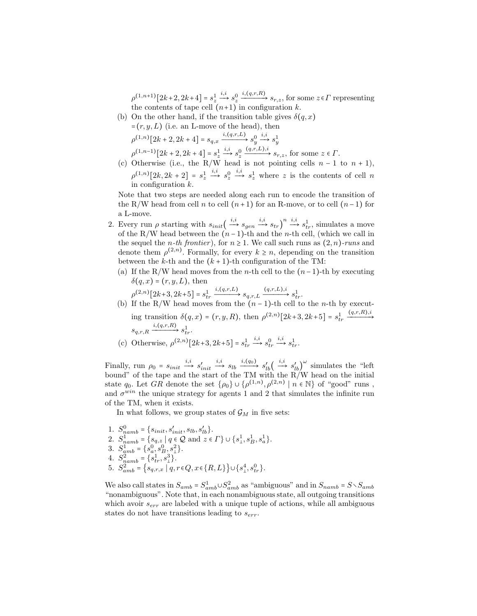$\rho^{(1,n+1)}[2k+2, 2k+4] = s_z^1$  $\stackrel{i,i}{\longrightarrow} s_z^0$  $\xrightarrow{i,(q,r,R)} s_{r,z}$ , for some  $z \in \Gamma$  representing the contents of tape cell  $(n+1)$  in configuration k.

(b) On the other hand, if the transition table gives  $\delta(q, x)$ 

$$
= (r, y, L)
$$
 (i.e. an L-move of the head), then  
\n
$$
\rho^{(1,n)}[2k+2, 2k+4] = s_{q,x} \xrightarrow{i,(q,r,L)} s_y^0 \xrightarrow{i,i} s_y^1
$$
\n
$$
\rho^{(1,n-1)}[2k+2, 2k+4] = s_z^1 \xrightarrow{i,i} s_z^0 \xrightarrow{(q,r,L),i} s_{r,z},
$$
 for some  $z \in \Gamma$ .

(c) Otherwise (i.e., the R/W head is not pointing cells  $n-1$  to  $n+1$ ),  $\rho^{(1,n)}[2k, 2k+2] = s_z^1$  $\stackrel{i,i}{\longrightarrow} s_2^0$  $\xrightarrow{i,i} s^1$  where z is the contents of cell n in configuration k.

Note that two steps are needed along each run to encode the transition of the R/W head from cell n to cell  $(n+1)$  for an R-move, or to cell  $(n-1)$  for a L-move.

- 2. Every run  $\rho$  starting with  $s_{init}(\rightarrow s_{gen} \rightarrow s_{tr})^n \rightarrow s_{tr}^i$ , simulates a move of the R/W head between the  $(n-1)$ -th and the *n*-th cell, (which we call in the sequel the *n*-th frontier), for  $n \geq 1$ . We call such runs as  $(2, n)$ -runs and denote them  $\rho^{(2,n)}$ . Formally, for every  $k \geq n$ , depending on the transition between the  $k$ -th and the  $(k + 1)$ -th configuration of the TM:
	- (a) If the R/W head moves from the n-th cell to the  $(n-1)$ -th by executing  $\delta(q, x) = (r, y, L)$ , then

$$
\rho^{(2,n)}[2k+3, 2k+5] = s_{tr}^1 \xrightarrow{i, (q,r,L)} s_{q,r,L} \xrightarrow{(q,r,L), i} s_{tr}^1.
$$

- (b) If the R/W head moves from the  $(n-1)$ -th cell to the *n*-th by executing transition  $\delta(q, x) = (r, y, R)$ , then  $\rho^{(2,n)}[2k+3, 2k+5] = s_{tr}^1$  $\xrightarrow{(q,r,R),i}$  $s_{q,r,R} \xrightarrow{i,(q,r,R)} s_{tr}^1$ .
- (c) Otherwise,  $\rho^{(2,n)}[2k+3, 2k+5] = s_{tr}^1$  $\stackrel{i,i}{\longrightarrow} s^0_{tr}$  $\stackrel{i,i}{\longrightarrow} s_{tr}^1$ .

Finally, run  $\rho_0 = s_{init} \xrightarrow{i,i} s'_{init}$  $\stackrel{i,i}{\longrightarrow} s_{lb} \stackrel{i,(q_0)}{\longrightarrow} s'_{lb} \left( \stackrel{i,i}{\longrightarrow} s'_{lb} \right)^{\omega}$  simulates the "left bound" of the tape and the start of the TM with the R/W head on the initial state q<sub>0</sub>. Let GR denote the set  $\{\rho_0\} \cup \{\rho^{(1,n)}, \rho^{(2,n)} \mid n \in \mathbb{N}\}\$  of "good" runs, and  $\sigma^{win}$  the unique strategy for agents 1 and 2 that simulates the infinite run of the TM, when it exists.

In what follows, we group states of  $\mathcal{G}_M$  in five sets:

1.  $S_{namb}^0 = \{s_{init}, s'_{init}, s_{lb}, s'_{lb}\}.$ 2.  $S_{namb}^{1} = \{s_{q,z} | q \in \mathcal{Q} \text{ and } z \in \Gamma\} \cup \{s_1^1, s_2^1, s_a^1\}.$ 3.  $S_{amb}^{1} = \{s_a^0, s_B^0, s_\perp^2\}.$ 4.  $S_{namb}^2 = \{s_{tr}^1, s_{\perp}^3\}.$ 5.  $S_{amb}^{2} = \{s_{q,r,x} | q, r \in Q, x \in \{R, L\} \} \cup \{s_1^4, s_{tr}^0\}.$ 

We also call states in  $S_{amb} = S_{amb}^1 \cup S_{amb}^2$  as "ambiguous" and in  $S_{namb} = S \setminus S_{amb}$ "nonambiguous". Note that, in each nonambiguous state, all outgoing transitions which avoir  $s_{err}$  are labeled with a unique tuple of actions, while all ambiguous states do not have transitions leading to  $s_{err}$ .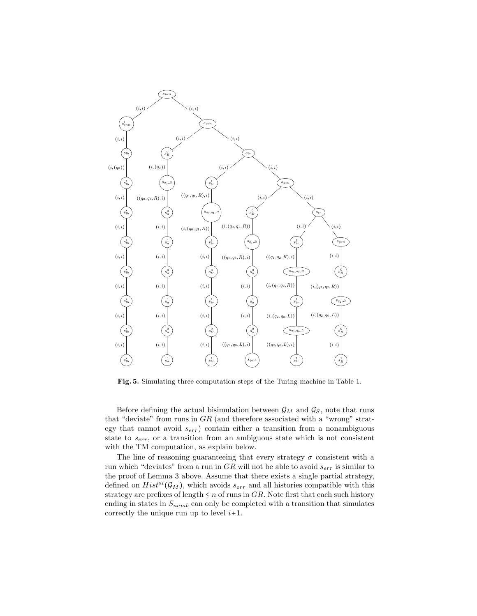

Fig. 5. Simulating three computation steps of the Turing machine in Table 1.

Before defining the actual bisimulation between  $\mathcal{G}_M$  and  $\mathcal{G}_S$ , note that runs that "deviate" from runs in GR (and therefore associated with a "wrong" strategy that cannot avoid  $s_{err}$ ) contain either a transition from a nonambiguous state to  $s_{err}$ , or a transition from an ambiguous state which is not consistent with the TM computation, as explain below.

The line of reasoning guaranteeing that every strategy  $\sigma$  consistent with a run which "deviates" from a run in  $GR$  will not be able to avoid  $s_{err}$  is similar to the proof of Lemma 3 above. Assume that there exists a single partial strategy, defined on  $Hist^{\leq i}(\mathcal{G}_M)$ , which avoids  $s_{err}$  and all histories compatible with this strategy are prefixes of length  $\leq n$  of runs in GR. Note first that each such history ending in states in  $S_{namb}$  can only be completed with a transition that simulates correctly the unique run up to level  $i+1$ .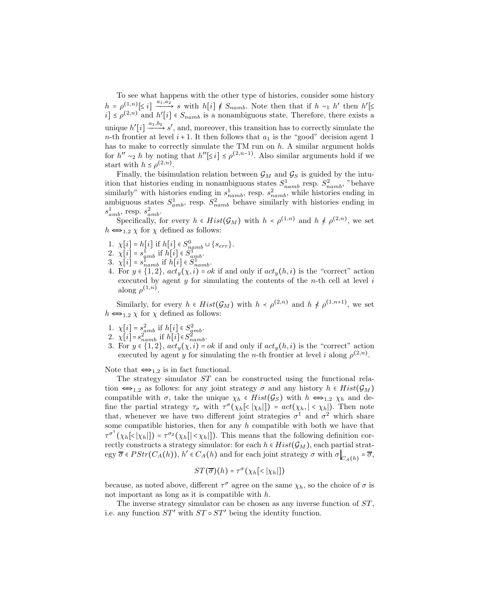To see what happens with the other type of histories, consider some history  $h = \rho^{(1,n)} \leq i \, \frac{a_1, a_2}{a_1, a_2}$  s with  $h[i] \notin S_{namb}$ . Note then that if  $h \sim_1 h'$  then  $h' \leq$  $i] \leq \rho^{(2,n)}$  and  $h'[i] \in S_{namb}$  is a nonambiguous state. Therefore, there exists a unique  $h'[i] \xrightarrow{a_1,b_2} s'$ , and, moreover, this transition has to correctly simulate the n-th frontier at level  $i + 1$ . It then follows that  $a_1$  is the "good" decision agent 1 has to make to correctly simulate the TM run on  $h$ . A similar argument holds for  $h'' \sim_2 h$  by noting that  $h''[\leq i] \leq \rho^{(2,n-1)}$ . Also similar arguments hold if we start with  $h \leq \rho^{(2,n)}$ .

Finally, the bisimulation relation between  $\mathcal{G}_M$  and  $\mathcal{G}_S$  is guided by the intuition that histories ending in nonambiguous states  $S_{namb}^1$  resp.  $S_{namb}^2$ , "behave similarly" with histories ending in  $s_{namb}^1$ , resp.  $s_{namb}^2$ , while histories ending in ambiguous states  $S_{amb}^1$ , resp.  $S_{namb}^2$  behave similarly with histories ending in  $s_{amb}^1$ , resp.  $s_{amb}^2$ .

Specifically, for every  $h \in Hist(\mathcal{G}_M)$  with  $h \lt \rho^{(1,n)}$  and  $h \not \le \rho^{(2,n)}$ , we set  $h \Longleftrightarrow_{1,2} \chi$  for  $\chi$  defined as follows:

- 1.  $\chi[i] = h[i]$  if  $h[i] \in S_{namb}^0 \cup \{s_{err}\}.$
- 2.  $\chi[i] = s_{amb}^1$  if  $h[i] \in S_{amp}^1$ .
- 3.  $\chi[i] = s_{namb}^{umo}$  if  $h[i] \in S_{namb}^{1}$ .
- 4. For  $y \in \{1,2\}$ ,  $act_y(\chi, i) = ok$  if and only if  $act_y(h, i)$  is the "correct" action executed by agent  $y$  for simulating the contents of the *n*-th cell at level  $i$ along  $\rho^{(1,n)}$ .

Similarly, for every  $h \in Hist(\mathcal{G}_M)$  with  $h \lt \rho^{(2,n)}$  and  $h \not \le \rho^{(1,n+1)}$ , we set  $h \Longleftrightarrow_{1,2} \chi$  for  $\chi$  defined as follows:

- 1.  $\chi[i] = s_{amb}^2$  if  $h[i] \in S_{amb}^2$ .
- 2.  $\chi[i] = s_{namb}^{2^{mno}}$  if  $h[i] \in S_{namb}^{2^{mno}}$ .
- 3. For  $y \in \{1,2\}$ ,  $act_y(\chi, i) = ok$  if and only if  $act_y(h, i)$  is the "correct" action executed by agent y for simulating the n-th frontier at level i along  $\rho^{(2,n)}$ .

Note that  $\Longleftrightarrow$ <sub>1.2</sub> is in fact functional.

The strategy simulator ST can be constructed using the functional relation  $\iff$ <sub>1,2</sub> as follows: for any joint strategy  $\sigma$  and any history  $h \in Hist(\mathcal{G}_M)$ compatible with  $\sigma$ , take the unique  $\chi_h \in Hist(\mathcal{G}_S)$  with  $h \Leftrightarrow_{1,2} \chi_h$  and define the partial strategy  $\tau_{\sigma}$  with  $\tau^{\sigma}(\chi_h[\langle \chi_h | \cdot \rangle = act(\chi_h, |\langle \chi_h | \cdot \rangle)$ . Then note that, whenever we have two different joint strategies  $\sigma^1$  and  $\sigma^2$  which share some compatible histories, then for any  $h$  compatible with both we have that  $\tau^{\sigma^1}(\chi_h[\langle \chi_h | \cdot \chi_h | \cdot \chi_h | \cdot \chi_h |])$ . This means that the following definition correctly constructs a strategy simulator: for each  $h \in Hist(\mathcal{G}_M)$ , each partial strategy  $\overline{\sigma} \in PStr(C_A(h)), h' \in C_A(h)$  and for each joint strategy  $\sigma$  with  $\sigma \bigg|_{C_A(h)} = \overline{\sigma}$ ,

$$
ST(\overline{\sigma})(h) = \tau^{\sigma}(\chi_h[\langle \chi_h |])
$$

because, as noted above, different  $\tau^{\sigma}$  agree on the same  $\chi_h$ , so the choice of  $\sigma$  is not important as long as it is compatible with  $h$ .

The inverse strategy simulator can be chosen as any inverse function of  $ST$ , i.e. any function  $ST'$  with  $ST \circ ST'$  being the identity function.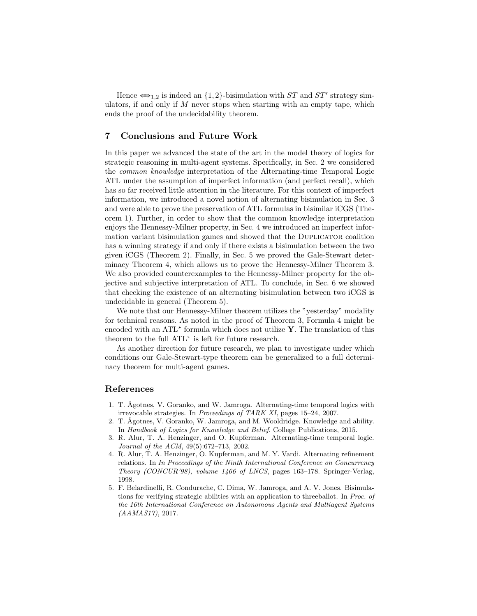Hence  $\Longleftrightarrow_{1,2}$  is indeed an  $\{1,2\}$ -bisimulation with ST and ST' strategy simulators, if and only if  $M$  never stops when starting with an empty tape, which ends the proof of the undecidability theorem.

# 7 Conclusions and Future Work

In this paper we advanced the state of the art in the model theory of logics for strategic reasoning in multi-agent systems. Specifically, in Sec. 2 we considered the common knowledge interpretation of the Alternating-time Temporal Logic ATL under the assumption of imperfect information (and perfect recall), which has so far received little attention in the literature. For this context of imperfect information, we introduced a novel notion of alternating bisimulation in Sec. 3 and were able to prove the preservation of ATL formulas in bisimilar iCGS (Theorem 1). Further, in order to show that the common knowledge interpretation enjoys the Hennessy-Milner property, in Sec. 4 we introduced an imperfect information variant bisimulation games and showed that the DUPLICATOR coalition has a winning strategy if and only if there exists a bisimulation between the two given iCGS (Theorem 2). Finally, in Sec. 5 we proved the Gale-Stewart determinacy Theorem 4, which allows us to prove the Hennessy-Milner Theorem 3. We also provided counterexamples to the Hennessy-Milner property for the objective and subjective interpretation of ATL. To conclude, in Sec. 6 we showed that checking the existence of an alternating bisimulation between two iCGS is undecidable in general (Theorem 5).

We note that our Hennessy-Milner theorem utilizes the "yesterday" modality for technical reasons. As noted in the proof of Theorem 3, Formula 4 might be encoded with an ATL<sup>\*</sup> formula which does not utilize Y. The translation of this theorem to the full ATL<sup>∗</sup> is left for future research.

As another direction for future research, we plan to investigate under which conditions our Gale-Stewart-type theorem can be generalized to a full determinacy theorem for multi-agent games.

## References

- 1. T. Ågotnes, V. Goranko, and W. Jamroga. Alternating-time temporal logics with irrevocable strategies. In Proceedings of TARK XI, pages 15–24, 2007.
- 2. T. Ågotnes, V. Goranko, W. Jamroga, and M. Wooldridge. Knowledge and ability. In Handbook of Logics for Knowledge and Belief. College Publications, 2015.
- 3. R. Alur, T. A. Henzinger, and O. Kupferman. Alternating-time temporal logic. Journal of the ACM, 49(5):672–713, 2002.
- 4. R. Alur, T. A. Henzinger, O. Kupferman, and M. Y. Vardi. Alternating refinement relations. In In Proceedings of the Ninth International Conference on Concurrency Theory (CONCUR'98), volume 1466 of LNCS, pages 163–178. Springer-Verlag, 1998.
- 5. F. Belardinelli, R. Condurache, C. Dima, W. Jamroga, and A. V. Jones. Bisimulations for verifying strategic abilities with an application to threeballot. In Proc. of the 16th International Conference on Autonomous Agents and Multiagent Systems (AAMAS17), 2017.